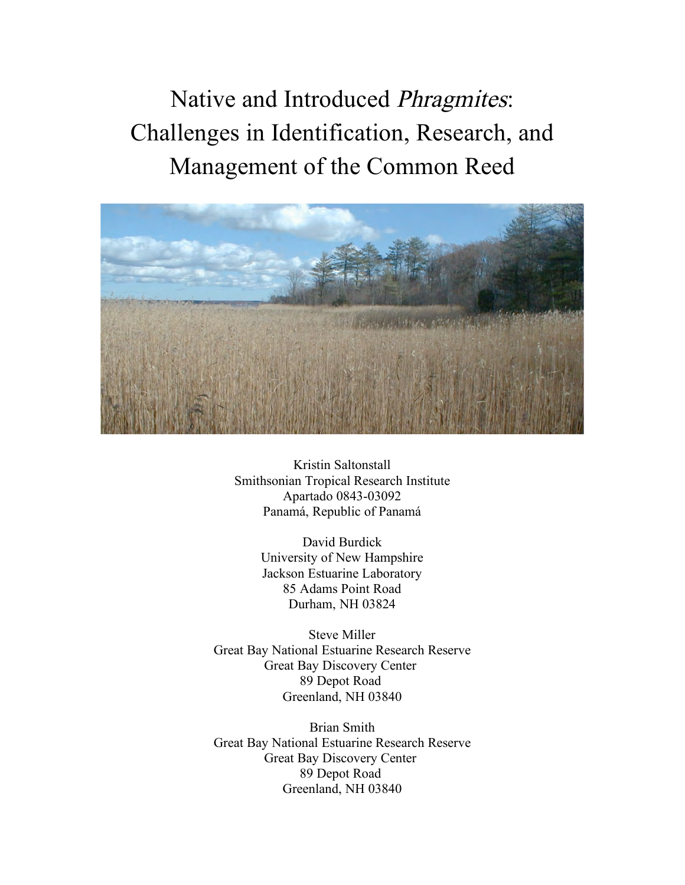Native and Introduced Phragmites: Challenges in Identification, Research, and Management of the Common Reed



Kristin Saltonstall Smithsonian Tropical Research Institute Apartado 0843-03092 Panamá, Republic of Panamá

> David Burdick University of New Hampshire Jackson Estuarine Laboratory 85 Adams Point Road Durham, NH 03824

Steve Miller Great Bay National Estuarine Research Reserve Great Bay Discovery Center 89 Depot Road Greenland, NH 03840

Brian Smith Great Bay National Estuarine Research Reserve Great Bay Discovery Center 89 Depot Road Greenland, NH 03840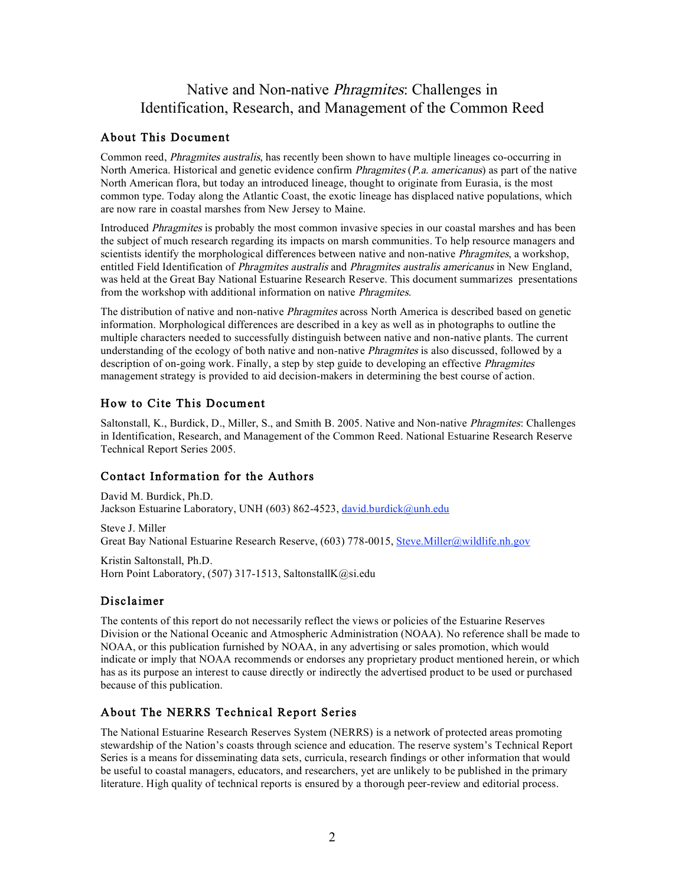### Native and Non-native Phragmites: Challenges in Identification, Research, and Management of the Common Reed

#### About This Document

Common reed, *Phragmites australis*, has recently been shown to have multiple lineages co-occurring in North America. Historical and genetic evidence confirm *Phragmites (P.a. americanus)* as part of the native North American flora, but today an introduced lineage, thought to originate from Eurasia, is the most common type. Today along the Atlantic Coast, the exotic lineage has displaced native populations, which are now rare in coastal marshes from New Jersey to Maine.

Introduced Phragmites is probably the most common invasive species in our coastal marshes and has been the subject of much research regarding its impacts on marsh communities. To help resource managers and scientists identify the morphological differences between native and non-native *Phragmites*, a workshop, entitled Field Identification of *Phragmites australis* and *Phragmites australis americanus* in New England, was held at the Great Bay National Estuarine Research Reserve. This document summarizes presentations from the workshop with additional information on native Phragmites.

The distribution of native and non-native Phragmites across North America is described based on genetic information. Morphological differences are described in a key as well as in photographs to outline the multiple characters needed to successfully distinguish between native and non-native plants. The current understanding of the ecology of both native and non-native *Phragmites* is also discussed, followed by a description of on-going work. Finally, a step by step guide to developing an effective *Phragmites* management strategy is provided to aid decision-makers in determining the best course of action.

#### How to Cite This Document

Saltonstall, K., Burdick, D., Miller, S., and Smith B. 2005. Native and Non-native Phragmites: Challenges in Identification, Research, and Management of the Common Reed. National Estuarine Research Reserve Technical Report Series 2005.

#### Contact Information for the Authors

David M. Burdick, Ph.D. Jackson Estuarine Laboratory, UNH (603) 862-4523, david.burdick@unh.edu Steve J. Miller

Great Bay National Estuarine Research Reserve, (603) 778-0015, Steve.Miller@wildlife.nh.gov

Kristin Saltonstall, Ph.D. Horn Point Laboratory, (507) 317-1513, SaltonstallK@si.edu

#### Disclaimer

The contents of this report do not necessarily reflect the views or policies of the Estuarine Reserves Division or the National Oceanic and Atmospheric Administration (NOAA). No reference shall be made to NOAA, or this publication furnished by NOAA, in any advertising or sales promotion, which would indicate or imply that NOAA recommends or endorses any proprietary product mentioned herein, or which has as its purpose an interest to cause directly or indirectly the advertised product to be used or purchased because of this publication.

#### About The NERRS Technical Report Series

The National Estuarine Research Reserves System (NERRS) is a network of protected areas promoting stewardship of the Nation's coasts through science and education. The reserve system's Technical Report Series is a means for disseminating data sets, curricula, research findings or other information that would be useful to coastal managers, educators, and researchers, yet are unlikely to be published in the primary literature. High quality of technical reports is ensured by a thorough peer-review and editorial process.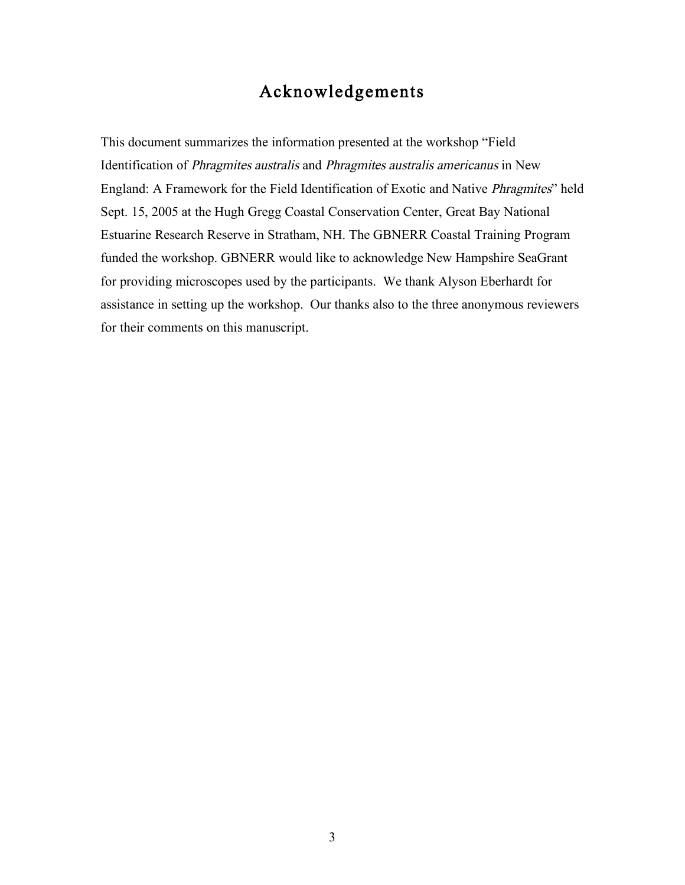## Acknowledgements

This document summarizes the information presented at the workshop "Field Identification of Phragmites australis and Phragmites australis americanus in New England: A Framework for the Field Identification of Exotic and Native Phragmites" held Sept. 15, 2005 at the Hugh Gregg Coastal Conservation Center, Great Bay National Estuarine Research Reserve in Stratham, NH. The GBNERR Coastal Training Program funded the workshop. GBNERR would like to acknowledge New Hampshire SeaGrant for providing microscopes used by the participants. We thank Alyson Eberhardt for assistance in setting up the workshop. Our thanks also to the three anonymous reviewers for their comments on this manuscript.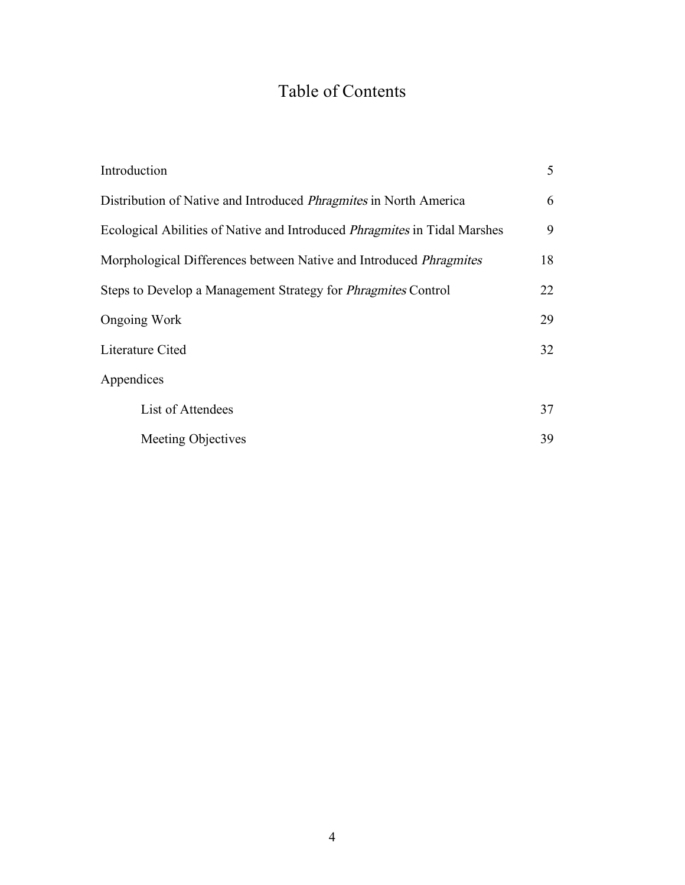# Table of Contents

| Introduction                                                                     | 5  |
|----------------------------------------------------------------------------------|----|
| Distribution of Native and Introduced <i>Phragmites</i> in North America         | 6  |
| Ecological Abilities of Native and Introduced <i>Phragmites</i> in Tidal Marshes | 9  |
| Morphological Differences between Native and Introduced <i>Phragmites</i>        | 18 |
| Steps to Develop a Management Strategy for <i>Phragmites</i> Control             | 22 |
| <b>Ongoing Work</b>                                                              | 29 |
| Literature Cited                                                                 | 32 |
| Appendices                                                                       |    |
| List of Attendees                                                                | 37 |
| Meeting Objectives                                                               | 39 |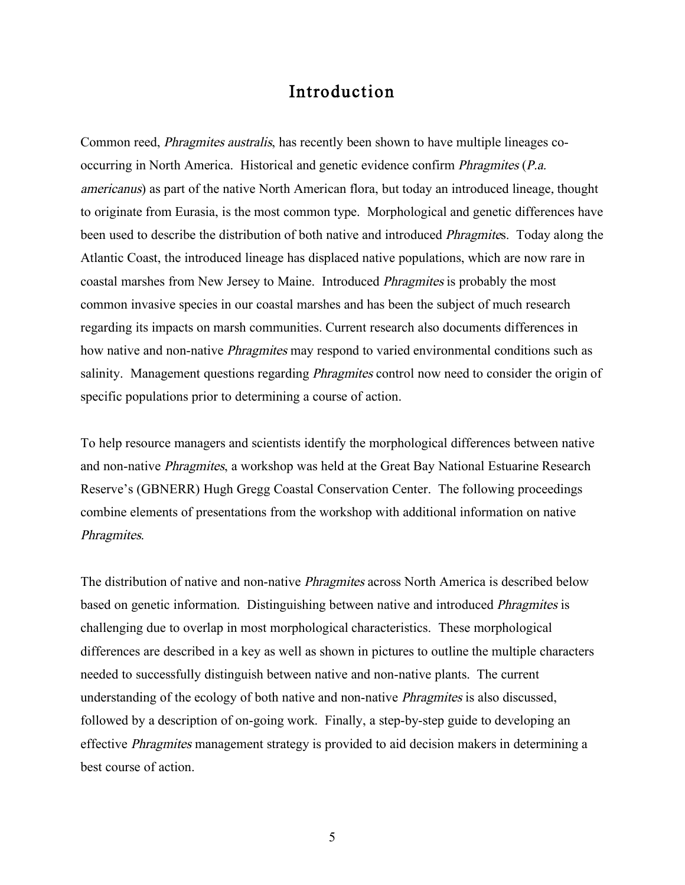## Introduction

Common reed, Phragmites australis, has recently been shown to have multiple lineages cooccurring in North America. Historical and genetic evidence confirm Phragmites (P.a. americanus) as part of the native North American flora, but today an introduced lineage, thought to originate from Eurasia, is the most common type. Morphological and genetic differences have been used to describe the distribution of both native and introduced Phragmites. Today along the Atlantic Coast, the introduced lineage has displaced native populations, which are now rare in coastal marshes from New Jersey to Maine. Introduced Phragmites is probably the most common invasive species in our coastal marshes and has been the subject of much research regarding its impacts on marsh communities. Current research also documents differences in how native and non-native *Phragmites* may respond to varied environmental conditions such as salinity. Management questions regarding Phragmites control now need to consider the origin of specific populations prior to determining a course of action.

To help resource managers and scientists identify the morphological differences between native and non-native Phragmites, a workshop was held at the Great Bay National Estuarine Research Reserve's (GBNERR) Hugh Gregg Coastal Conservation Center. The following proceedings combine elements of presentations from the workshop with additional information on native Phragmites.

The distribution of native and non-native Phragmites across North America is described below based on genetic information. Distinguishing between native and introduced Phragmites is challenging due to overlap in most morphological characteristics. These morphological differences are described in a key as well as shown in pictures to outline the multiple characters needed to successfully distinguish between native and non-native plants. The current understanding of the ecology of both native and non-native Phragmites is also discussed, followed by a description of on-going work. Finally, a step-by-step guide to developing an effective Phragmites management strategy is provided to aid decision makers in determining a best course of action.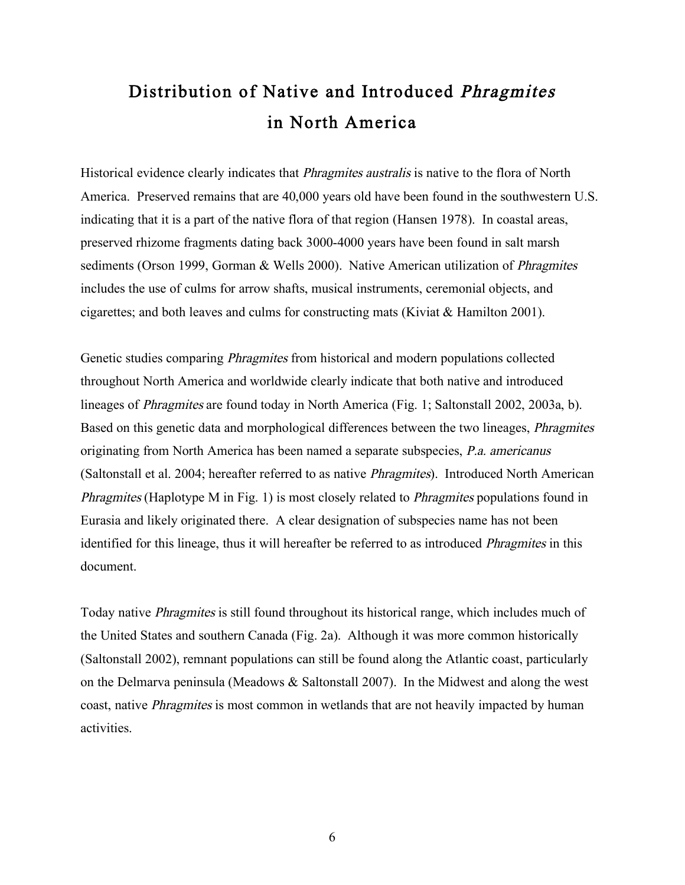# Distribution of Native and Introduced Phragmites in North America

Historical evidence clearly indicates that Phragmites australis is native to the flora of North America. Preserved remains that are 40,000 years old have been found in the southwestern U.S. indicating that it is a part of the native flora of that region (Hansen 1978). In coastal areas, preserved rhizome fragments dating back 3000-4000 years have been found in salt marsh sediments (Orson 1999, Gorman & Wells 2000). Native American utilization of *Phragmites* includes the use of culms for arrow shafts, musical instruments, ceremonial objects, and cigarettes; and both leaves and culms for constructing mats (Kiviat & Hamilton 2001).

Genetic studies comparing Phragmites from historical and modern populations collected throughout North America and worldwide clearly indicate that both native and introduced lineages of Phragmites are found today in North America (Fig. 1; Saltonstall 2002, 2003a, b). Based on this genetic data and morphological differences between the two lineages, Phragmites originating from North America has been named a separate subspecies, P.a. americanus (Saltonstall et al. 2004; hereafter referred to as native Phragmites). Introduced North American Phragmites (Haplotype M in Fig. 1) is most closely related to Phragmites populations found in Eurasia and likely originated there. A clear designation of subspecies name has not been identified for this lineage, thus it will hereafter be referred to as introduced Phragmites in this document.

Today native Phragmites is still found throughout its historical range, which includes much of the United States and southern Canada (Fig. 2a). Although it was more common historically (Saltonstall 2002), remnant populations can still be found along the Atlantic coast, particularly on the Delmarva peninsula (Meadows & Saltonstall 2007). In the Midwest and along the west coast, native Phragmites is most common in wetlands that are not heavily impacted by human activities.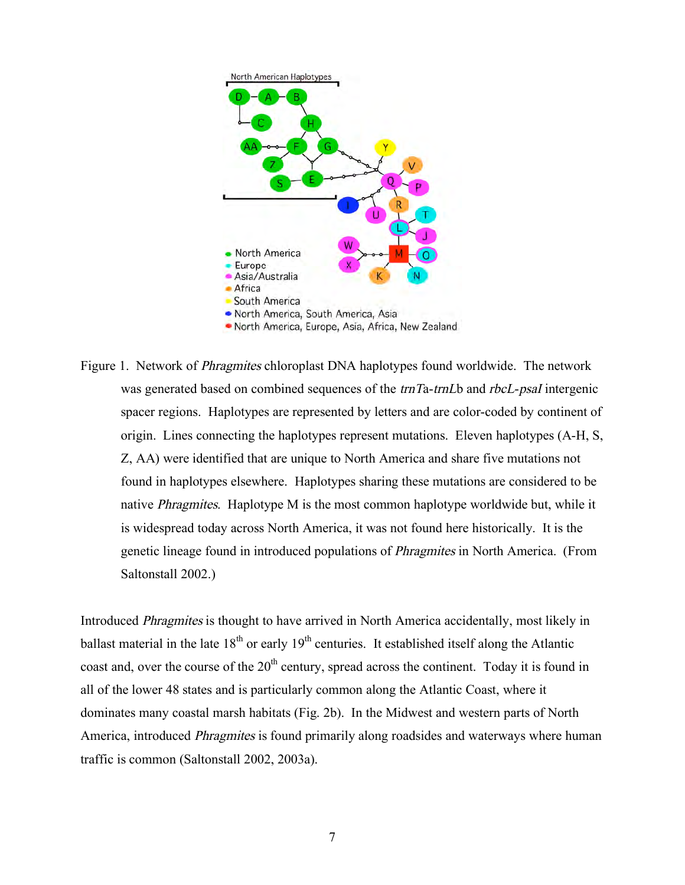

Figure 1. Network of Phragmites chloroplast DNA haplotypes found worldwide. The network was generated based on combined sequences of the *trnTa-trnLb* and *rbcL-psaI* intergenic spacer regions. Haplotypes are represented by letters and are color-coded by continent of origin. Lines connecting the haplotypes represent mutations. Eleven haplotypes (A-H, S, Z, AA) were identified that are unique to North America and share five mutations not found in haplotypes elsewhere. Haplotypes sharing these mutations are considered to be native *Phragmites*. Haplotype M is the most common haplotype worldwide but, while it is widespread today across North America, it was not found here historically. It is the genetic lineage found in introduced populations of Phragmites in North America. (From Saltonstall 2002.)

Introduced Phragmites is thought to have arrived in North America accidentally, most likely in ballast material in the late  $18<sup>th</sup>$  or early  $19<sup>th</sup>$  centuries. It established itself along the Atlantic coast and, over the course of the 20<sup>th</sup> century, spread across the continent. Today it is found in all of the lower 48 states and is particularly common along the Atlantic Coast, where it dominates many coastal marsh habitats (Fig. 2b). In the Midwest and western parts of North America, introduced Phragmites is found primarily along roadsides and waterways where human traffic is common (Saltonstall 2002, 2003a).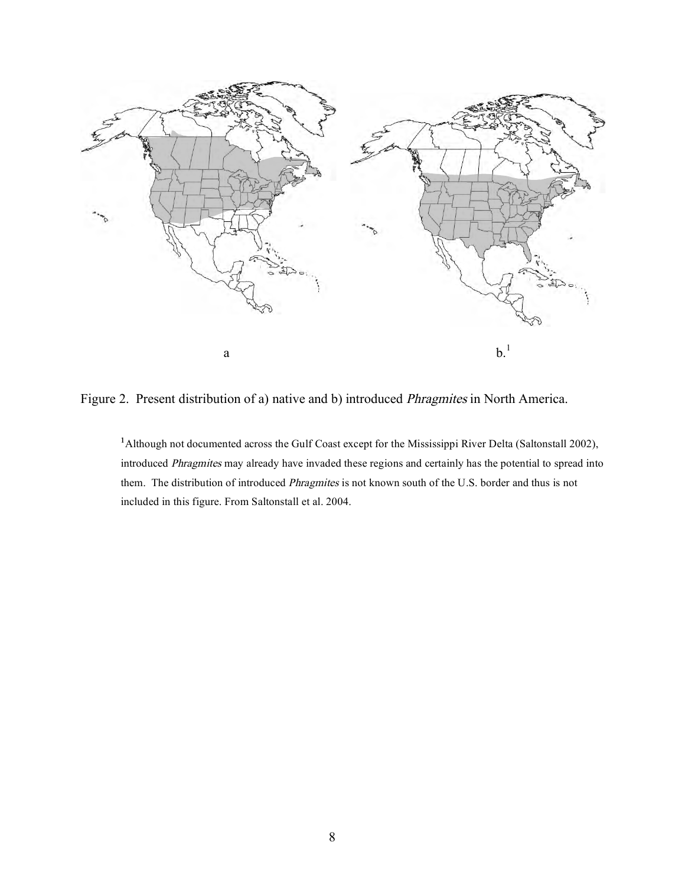

Figure 2. Present distribution of a) native and b) introduced Phragmites in North America.

<sup>1</sup> Although not documented across the Gulf Coast except for the Mississippi River Delta (Saltonstall 2002), introduced Phragmites may already have invaded these regions and certainly has the potential to spread into them. The distribution of introduced Phragmites is not known south of the U.S. border and thus is not included in this figure. From Saltonstall et al. 2004.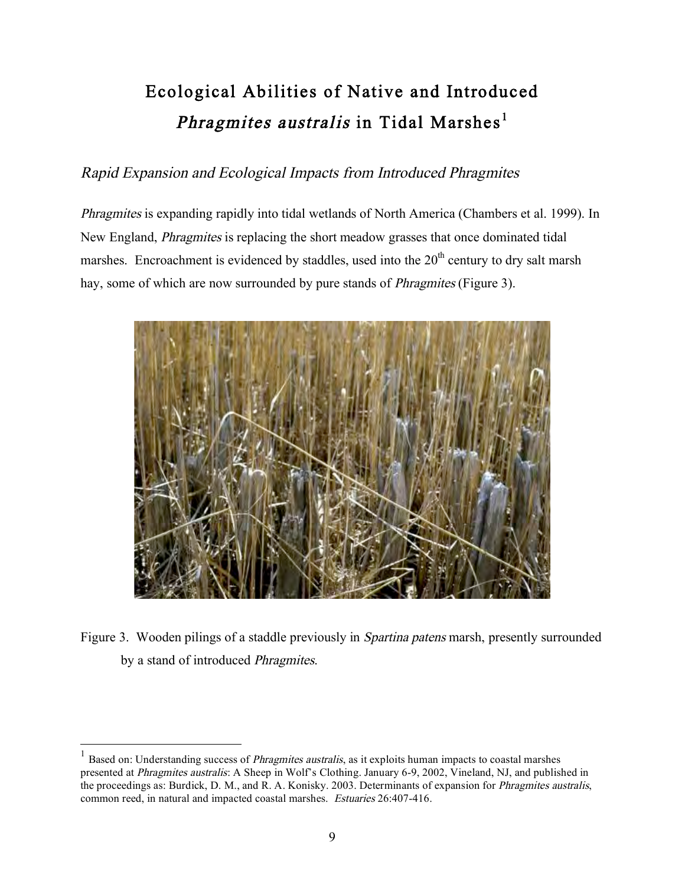# Ecological Abilities of Native and Introduced *Phragmites australis* in Tidal Marshes<sup>1</sup>

## Rapid Expansion and Ecological Impacts from Introduced Phragmites

Phragmites is expanding rapidly into tidal wetlands of North America (Chambers et al. 1999). In New England, Phragmites is replacing the short meadow grasses that once dominated tidal marshes. Encroachment is evidenced by staddles, used into the  $20<sup>th</sup>$  century to dry salt marsh hay, some of which are now surrounded by pure stands of *Phragmites* (Figure 3).



Figure 3. Wooden pilings of a staddle previously in Spartina patens marsh, presently surrounded by a stand of introduced Phragmites.

 $<sup>1</sup>$  Based on: Understanding success of *Phragmites australis*, as it exploits human impacts to coastal marshes</sup> presented at Phragmites australis: A Sheep in Wolf's Clothing. January 6-9, 2002, Vineland, NJ, and published in the proceedings as: Burdick, D. M., and R. A. Konisky. 2003. Determinants of expansion for Phragmites australis, common reed, in natural and impacted coastal marshes. Estuaries 26:407-416.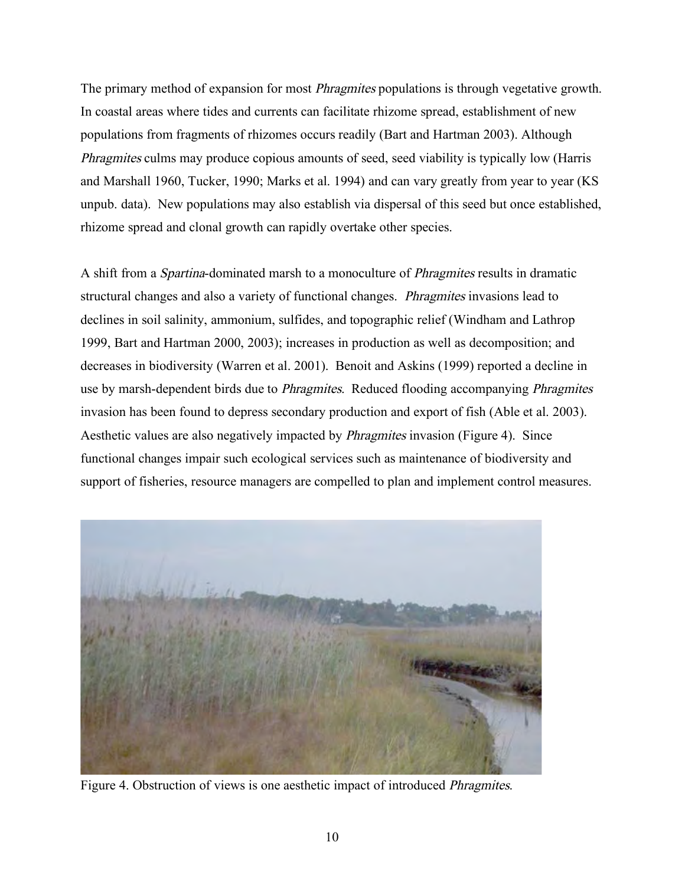The primary method of expansion for most *Phragmites* populations is through vegetative growth. In coastal areas where tides and currents can facilitate rhizome spread, establishment of new populations from fragments of rhizomes occurs readily (Bart and Hartman 2003). Although Phragmites culms may produce copious amounts of seed, seed viability is typically low (Harris and Marshall 1960, Tucker, 1990; Marks et al. 1994) and can vary greatly from year to year (KS unpub. data). New populations may also establish via dispersal of this seed but once established, rhizome spread and clonal growth can rapidly overtake other species.

A shift from a Spartina-dominated marsh to a monoculture of Phragmites results in dramatic structural changes and also a variety of functional changes. Phragmites invasions lead to declines in soil salinity, ammonium, sulfides, and topographic relief (Windham and Lathrop 1999, Bart and Hartman 2000, 2003); increases in production as well as decomposition; and decreases in biodiversity (Warren et al. 2001). Benoit and Askins (1999) reported a decline in use by marsh-dependent birds due to *Phragmites*. Reduced flooding accompanying *Phragmites* invasion has been found to depress secondary production and export of fish (Able et al. 2003). Aesthetic values are also negatively impacted by Phragmites invasion (Figure 4). Since functional changes impair such ecological services such as maintenance of biodiversity and support of fisheries, resource managers are compelled to plan and implement control measures.



Figure 4. Obstruction of views is one aesthetic impact of introduced Phragmites.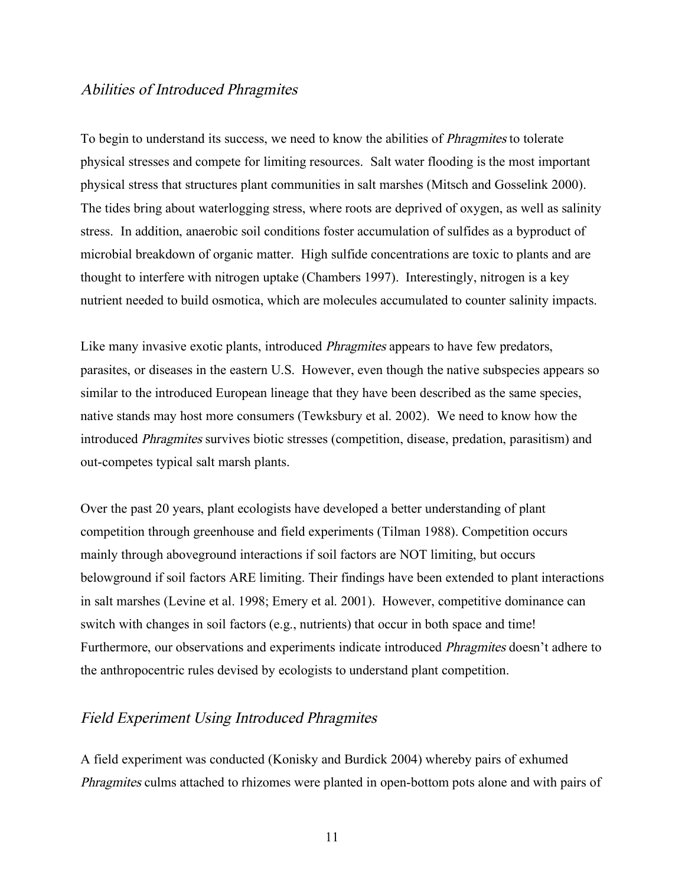### Abilities of Introduced Phragmites

To begin to understand its success, we need to know the abilities of Phragmites to tolerate physical stresses and compete for limiting resources. Salt water flooding is the most important physical stress that structures plant communities in salt marshes (Mitsch and Gosselink 2000). The tides bring about waterlogging stress, where roots are deprived of oxygen, as well as salinity stress. In addition, anaerobic soil conditions foster accumulation of sulfides as a byproduct of microbial breakdown of organic matter. High sulfide concentrations are toxic to plants and are thought to interfere with nitrogen uptake (Chambers 1997). Interestingly, nitrogen is a key nutrient needed to build osmotica, which are molecules accumulated to counter salinity impacts.

Like many invasive exotic plants, introduced *Phragmites* appears to have few predators, parasites, or diseases in the eastern U.S. However, even though the native subspecies appears so similar to the introduced European lineage that they have been described as the same species, native stands may host more consumers (Tewksbury et al. 2002). We need to know how the introduced Phragmites survives biotic stresses (competition, disease, predation, parasitism) and out-competes typical salt marsh plants.

Over the past 20 years, plant ecologists have developed a better understanding of plant competition through greenhouse and field experiments (Tilman 1988). Competition occurs mainly through aboveground interactions if soil factors are NOT limiting, but occurs belowground if soil factors ARE limiting. Their findings have been extended to plant interactions in salt marshes (Levine et al. 1998; Emery et al. 2001). However, competitive dominance can switch with changes in soil factors (e.g., nutrients) that occur in both space and time! Furthermore, our observations and experiments indicate introduced Phragmites doesn't adhere to the anthropocentric rules devised by ecologists to understand plant competition.

#### Field Experiment Using Introduced Phragmites

A field experiment was conducted (Konisky and Burdick 2004) whereby pairs of exhumed Phragmites culms attached to rhizomes were planted in open-bottom pots alone and with pairs of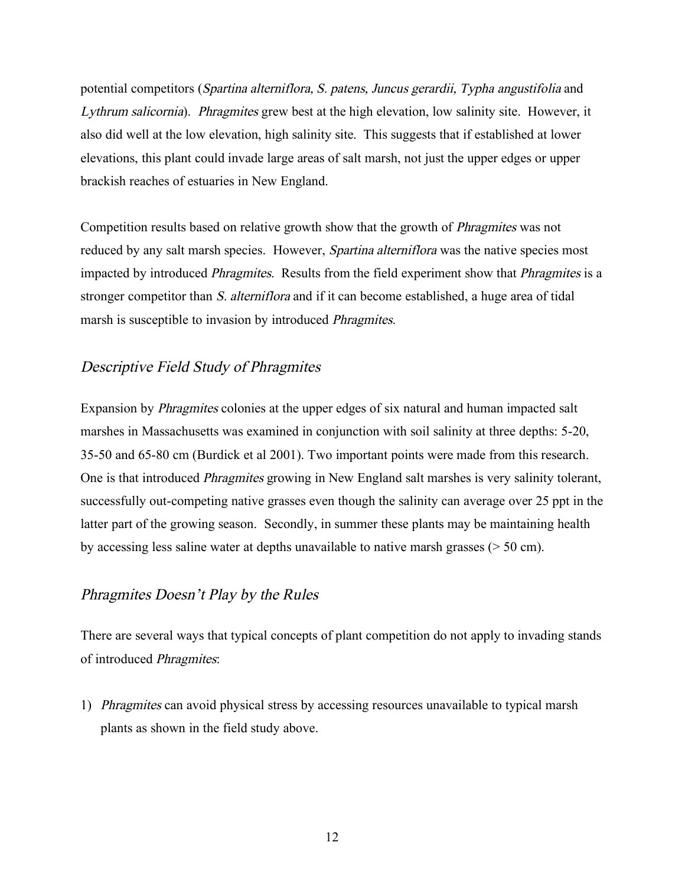potential competitors (Spartina alterniflora, S. patens, Juncus gerardii, Typha angustifolia and Lythrum salicornia). Phragmites grew best at the high elevation, low salinity site. However, it also did well at the low elevation, high salinity site. This suggests that if established at lower elevations, this plant could invade large areas of salt marsh, not just the upper edges or upper brackish reaches of estuaries in New England.

Competition results based on relative growth show that the growth of Phragmites was not reduced by any salt marsh species. However, *Spartina alterniflora* was the native species most impacted by introduced Phragmites. Results from the field experiment show that Phragmites is a stronger competitor than S. alterniflora and if it can become established, a huge area of tidal marsh is susceptible to invasion by introduced Phragmites.

### Descriptive Field Study of Phragmites

Expansion by Phragmites colonies at the upper edges of six natural and human impacted salt marshes in Massachusetts was examined in conjunction with soil salinity at three depths: 5-20, 35-50 and 65-80 cm (Burdick et al 2001). Two important points were made from this research. One is that introduced Phragmites growing in New England salt marshes is very salinity tolerant, successfully out-competing native grasses even though the salinity can average over 25 ppt in the latter part of the growing season. Secondly, in summer these plants may be maintaining health by accessing less saline water at depths unavailable to native marsh grasses (> 50 cm).

### Phragmites Doesn't Play by the Rules

There are several ways that typical concepts of plant competition do not apply to invading stands of introduced Phragmites:

1) Phragmites can avoid physical stress by accessing resources unavailable to typical marsh plants as shown in the field study above.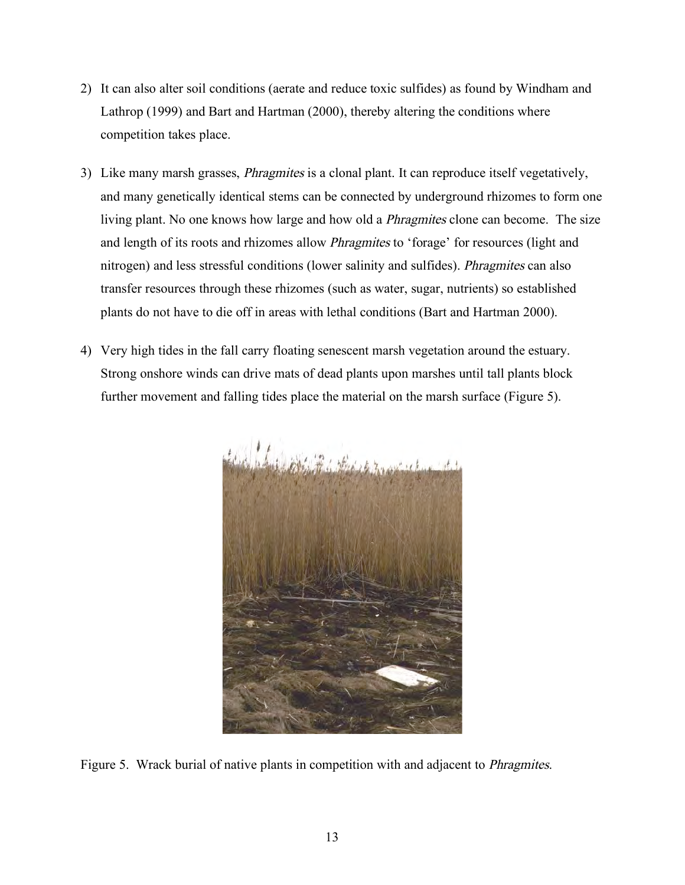- 2) It can also alter soil conditions (aerate and reduce toxic sulfides) as found by Windham and Lathrop (1999) and Bart and Hartman (2000), thereby altering the conditions where competition takes place.
- 3) Like many marsh grasses, Phragmites is a clonal plant. It can reproduce itself vegetatively, and many genetically identical stems can be connected by underground rhizomes to form one living plant. No one knows how large and how old a *Phragmites* clone can become. The size and length of its roots and rhizomes allow *Phragmites* to 'forage' for resources (light and nitrogen) and less stressful conditions (lower salinity and sulfides). Phragmites can also transfer resources through these rhizomes (such as water, sugar, nutrients) so established plants do not have to die off in areas with lethal conditions (Bart and Hartman 2000).
- 4) Very high tides in the fall carry floating senescent marsh vegetation around the estuary. Strong onshore winds can drive mats of dead plants upon marshes until tall plants block further movement and falling tides place the material on the marsh surface (Figure 5).



Figure 5. Wrack burial of native plants in competition with and adjacent to Phragmites.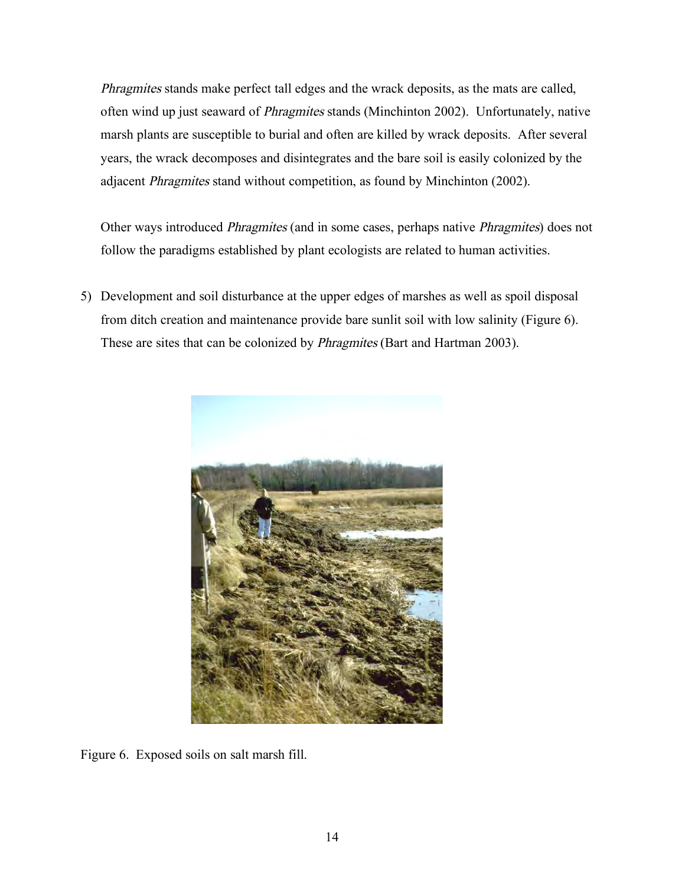Phragmites stands make perfect tall edges and the wrack deposits, as the mats are called, often wind up just seaward of Phragmites stands (Minchinton 2002). Unfortunately, native marsh plants are susceptible to burial and often are killed by wrack deposits. After several years, the wrack decomposes and disintegrates and the bare soil is easily colonized by the adjacent Phragmites stand without competition, as found by Minchinton (2002).

Other ways introduced Phragmites (and in some cases, perhaps native Phragmites) does not follow the paradigms established by plant ecologists are related to human activities.

5) Development and soil disturbance at the upper edges of marshes as well as spoil disposal from ditch creation and maintenance provide bare sunlit soil with low salinity (Figure 6). These are sites that can be colonized by Phragmites (Bart and Hartman 2003).



Figure 6. Exposed soils on salt marsh fill.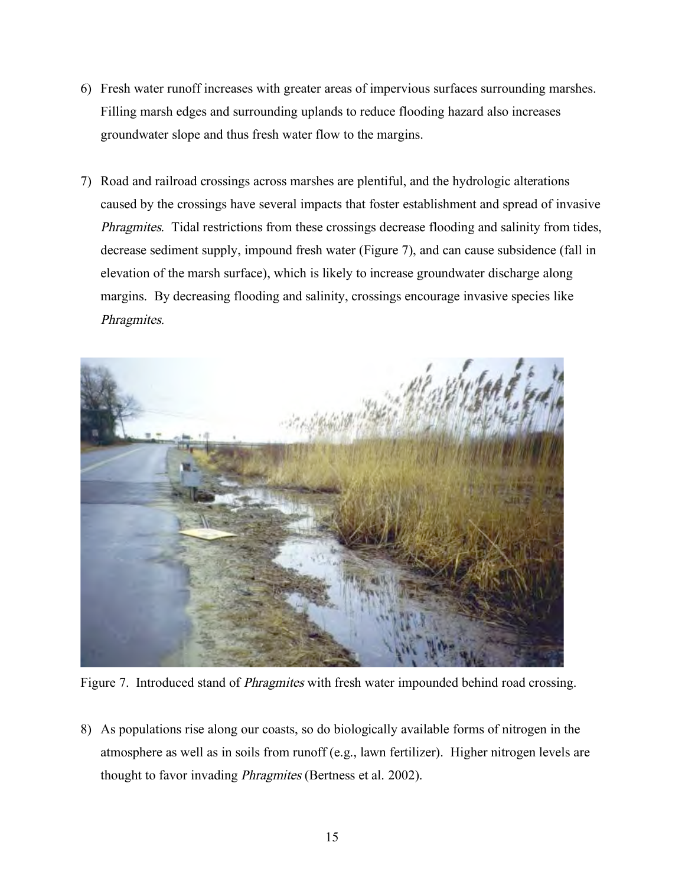- 6) Fresh water runoff increases with greater areas of impervious surfaces surrounding marshes. Filling marsh edges and surrounding uplands to reduce flooding hazard also increases groundwater slope and thus fresh water flow to the margins.
- 7) Road and railroad crossings across marshes are plentiful, and the hydrologic alterations caused by the crossings have several impacts that foster establishment and spread of invasive Phragmites. Tidal restrictions from these crossings decrease flooding and salinity from tides, decrease sediment supply, impound fresh water (Figure 7), and can cause subsidence (fall in elevation of the marsh surface), which is likely to increase groundwater discharge along margins. By decreasing flooding and salinity, crossings encourage invasive species like Phragmites.



Figure 7. Introduced stand of *Phragmites* with fresh water impounded behind road crossing.

8) As populations rise along our coasts, so do biologically available forms of nitrogen in the atmosphere as well as in soils from runoff (e.g., lawn fertilizer). Higher nitrogen levels are thought to favor invading Phragmites (Bertness et al. 2002).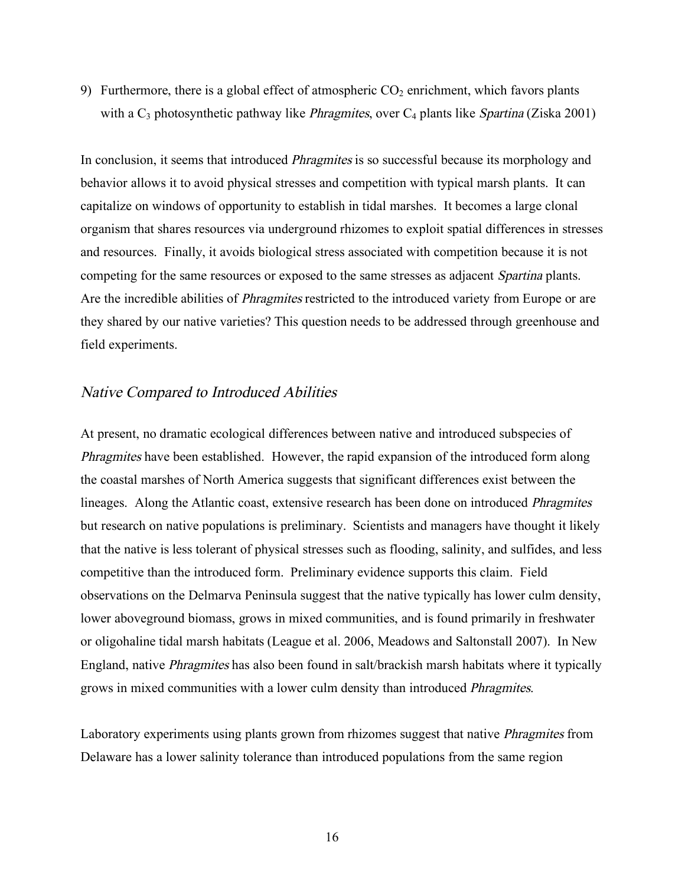9) Furthermore, there is a global effect of atmospheric  $CO<sub>2</sub>$  enrichment, which favors plants with a  $C_3$  photosynthetic pathway like *Phragmites*, over  $C_4$  plants like *Spartina* (Ziska 2001)

In conclusion, it seems that introduced *Phragmites* is so successful because its morphology and behavior allows it to avoid physical stresses and competition with typical marsh plants. It can capitalize on windows of opportunity to establish in tidal marshes. It becomes a large clonal organism that shares resources via underground rhizomes to exploit spatial differences in stresses and resources. Finally, it avoids biological stress associated with competition because it is not competing for the same resources or exposed to the same stresses as adjacent Spartina plants. Are the incredible abilities of Phragmites restricted to the introduced variety from Europe or are they shared by our native varieties? This question needs to be addressed through greenhouse and field experiments.

#### Native Compared to Introduced Abilities

At present, no dramatic ecological differences between native and introduced subspecies of Phragmites have been established. However, the rapid expansion of the introduced form along the coastal marshes of North America suggests that significant differences exist between the lineages. Along the Atlantic coast, extensive research has been done on introduced Phragmites but research on native populations is preliminary. Scientists and managers have thought it likely that the native is less tolerant of physical stresses such as flooding, salinity, and sulfides, and less competitive than the introduced form. Preliminary evidence supports this claim. Field observations on the Delmarva Peninsula suggest that the native typically has lower culm density, lower aboveground biomass, grows in mixed communities, and is found primarily in freshwater or oligohaline tidal marsh habitats (League et al. 2006, Meadows and Saltonstall 2007). In New England, native Phragmites has also been found in salt/brackish marsh habitats where it typically grows in mixed communities with a lower culm density than introduced Phragmites.

Laboratory experiments using plants grown from rhizomes suggest that native Phragmites from Delaware has a lower salinity tolerance than introduced populations from the same region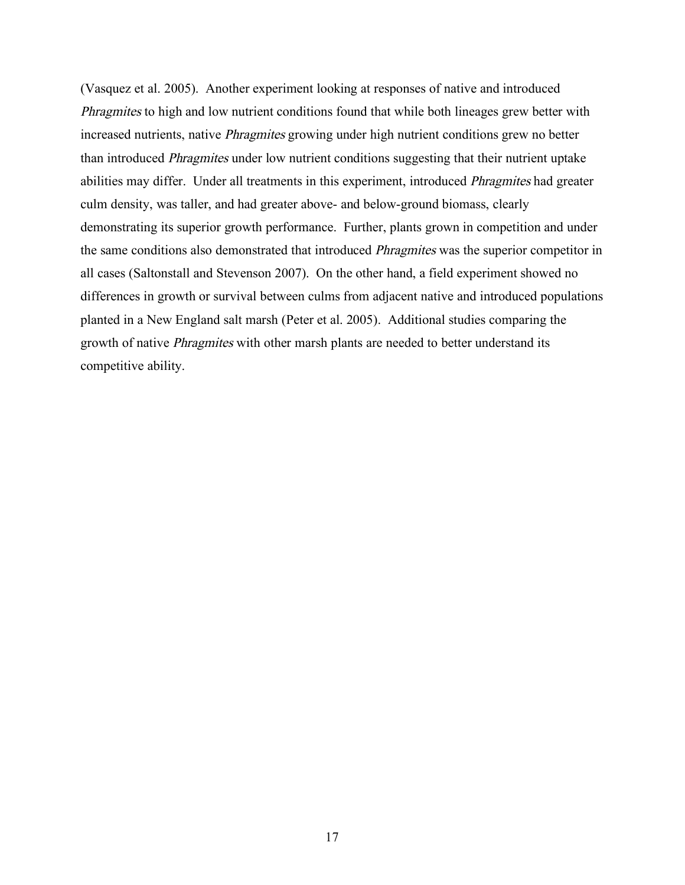(Vasquez et al. 2005). Another experiment looking at responses of native and introduced Phragmites to high and low nutrient conditions found that while both lineages grew better with increased nutrients, native Phragmites growing under high nutrient conditions grew no better than introduced Phragmites under low nutrient conditions suggesting that their nutrient uptake abilities may differ. Under all treatments in this experiment, introduced Phragmites had greater culm density, was taller, and had greater above- and below-ground biomass, clearly demonstrating its superior growth performance. Further, plants grown in competition and under the same conditions also demonstrated that introduced Phragmites was the superior competitor in all cases (Saltonstall and Stevenson 2007). On the other hand, a field experiment showed no differences in growth or survival between culms from adjacent native and introduced populations planted in a New England salt marsh (Peter et al. 2005). Additional studies comparing the growth of native Phragmites with other marsh plants are needed to better understand its competitive ability.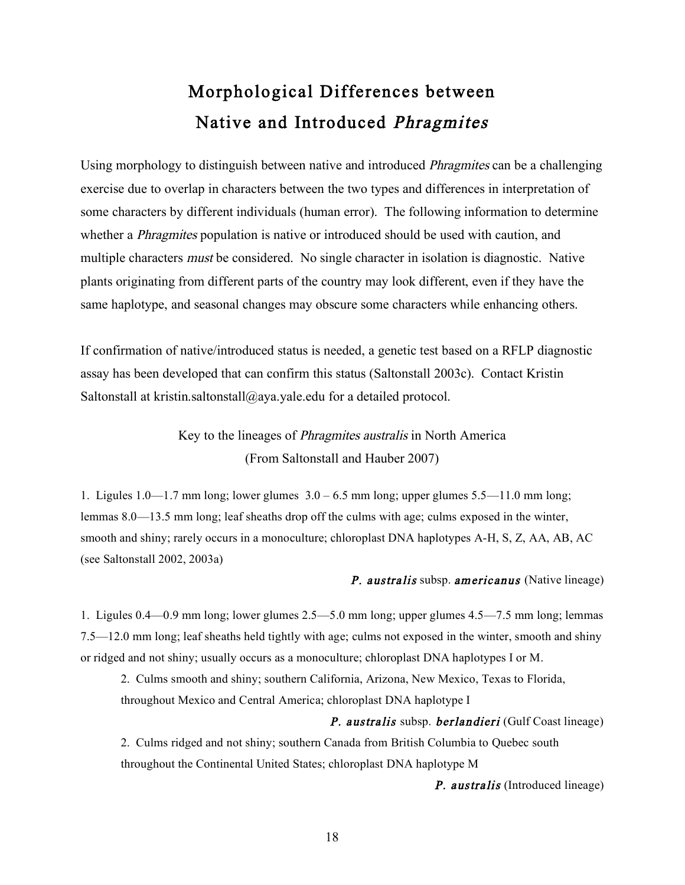# Morphological Differences between Native and Introduced Phragmites

Using morphology to distinguish between native and introduced Phragmites can be a challenging exercise due to overlap in characters between the two types and differences in interpretation of some characters by different individuals (human error). The following information to determine whether a *Phragmites* population is native or introduced should be used with caution, and multiple characters must be considered. No single character in isolation is diagnostic. Native plants originating from different parts of the country may look different, even if they have the same haplotype, and seasonal changes may obscure some characters while enhancing others.

If confirmation of native/introduced status is needed, a genetic test based on a RFLP diagnostic assay has been developed that can confirm this status (Saltonstall 2003c). Contact Kristin Saltonstall at kristin.saltonstall@aya.yale.edu for a detailed protocol.

> Key to the lineages of Phragmites australis in North America (From Saltonstall and Hauber 2007)

1. Ligules  $1.0-1.7$  mm long; lower glumes  $3.0-6.5$  mm long; upper glumes  $5.5-11.0$  mm long; lemmas 8.0—13.5 mm long; leaf sheaths drop off the culms with age; culms exposed in the winter, smooth and shiny; rarely occurs in a monoculture; chloroplast DNA haplotypes A-H, S, Z, AA, AB, AC (see Saltonstall 2002, 2003a)

#### P. australis subsp. americanus (Native lineage)

1. Ligules 0.4—0.9 mm long; lower glumes 2.5—5.0 mm long; upper glumes 4.5—7.5 mm long; lemmas 7.5—12.0 mm long; leaf sheaths held tightly with age; culms not exposed in the winter, smooth and shiny or ridged and not shiny; usually occurs as a monoculture; chloroplast DNA haplotypes I or M.

2. Culms smooth and shiny; southern California, Arizona, New Mexico, Texas to Florida, throughout Mexico and Central America; chloroplast DNA haplotype I

#### P. australis subsp. berlandieri (Gulf Coast lineage)

2. Culms ridged and not shiny; southern Canada from British Columbia to Quebec south throughout the Continental United States; chloroplast DNA haplotype M

**P.** australis (Introduced lineage)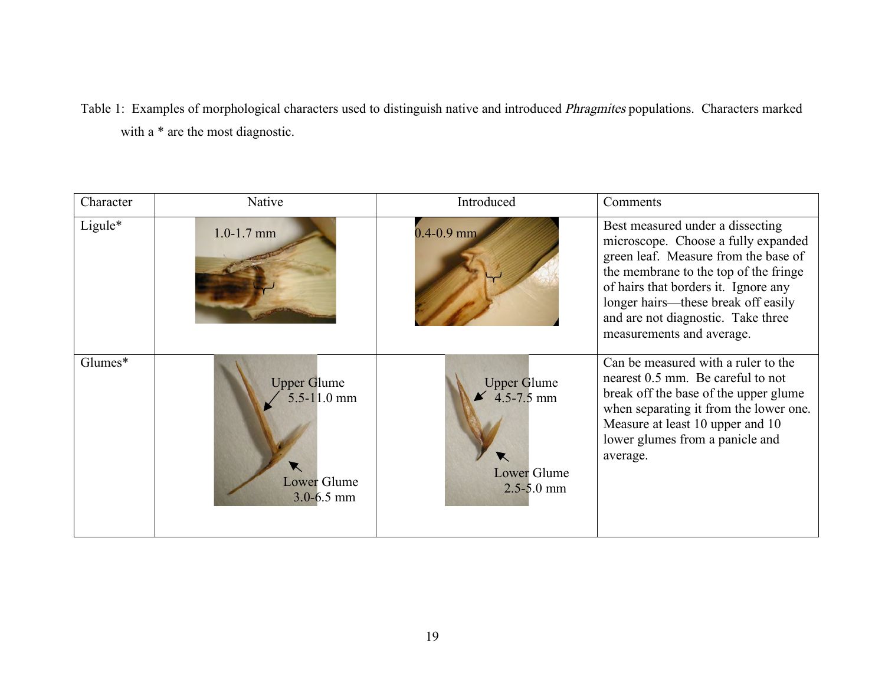Table 1: Examples of morphological characters used to distinguish native and introduced Phragmites populations. Characters marked with a \* are the most diagnostic.

| Character | Native                                                                      | Introduced                                                                   | Comments                                                                                                                                                                                                                                                                                                   |
|-----------|-----------------------------------------------------------------------------|------------------------------------------------------------------------------|------------------------------------------------------------------------------------------------------------------------------------------------------------------------------------------------------------------------------------------------------------------------------------------------------------|
| Ligule*   | $1.0 - 1.7$ mm                                                              | $0.4 - 0.9$ mm                                                               | Best measured under a dissecting<br>microscope. Choose a fully expanded<br>green leaf. Measure from the base of<br>the membrane to the top of the fringe<br>of hairs that borders it. Ignore any<br>longer hairs—these break off easily<br>and are not diagnostic. Take three<br>measurements and average. |
| Glumes*   | <b>Upper Glume</b><br>$5.5 - 11.0$ mm<br>▼<br>Lower Glume<br>$3.0 - 6.5$ mm | <b>Upper Glume</b><br>$4.5 - 7.5$ mm<br><b>Lower Glume</b><br>$2.5 - 5.0$ mm | Can be measured with a ruler to the<br>nearest 0.5 mm. Be careful to not<br>break off the base of the upper glume<br>when separating it from the lower one.<br>Measure at least 10 upper and 10<br>lower glumes from a panicle and<br>average.                                                             |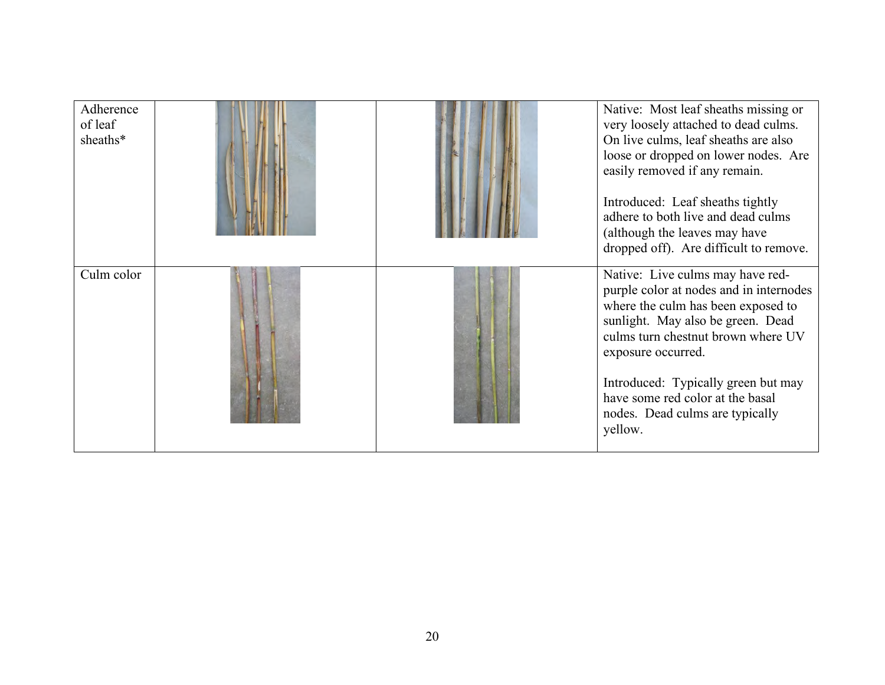| Adherence<br>of leaf<br>sheaths* |  | Native: Most leaf sheaths missing or<br>very loosely attached to dead culms.<br>On live culms, leaf sheaths are also<br>loose or dropped on lower nodes. Are<br>easily removed if any remain.<br>Introduced: Leaf sheaths tightly<br>adhere to both live and dead culms<br>(although the leaves may have<br>dropped off). Are difficult to remove. |
|----------------------------------|--|----------------------------------------------------------------------------------------------------------------------------------------------------------------------------------------------------------------------------------------------------------------------------------------------------------------------------------------------------|
| Culm color                       |  | Native: Live culms may have red-<br>purple color at nodes and in internodes<br>where the culm has been exposed to<br>sunlight. May also be green. Dead<br>culms turn chestnut brown where UV<br>exposure occurred.<br>Introduced: Typically green but may<br>have some red color at the basal<br>nodes. Dead culms are typically<br>yellow.        |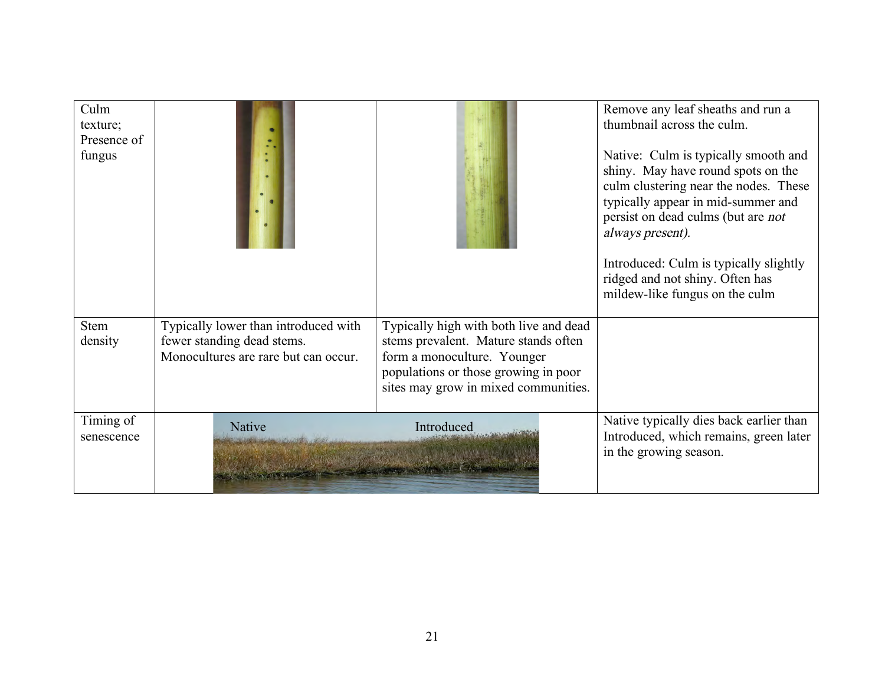| Culm<br>texture;<br>Presence of<br>fungus |                                                                                                            |                                                                                                                                                                                               | Remove any leaf sheaths and run a<br>thumbnail across the culm.<br>Native: Culm is typically smooth and<br>shiny. May have round spots on the<br>culm clustering near the nodes. These<br>typically appear in mid-summer and<br>persist on dead culms (but are not<br>always present).<br>Introduced: Culm is typically slightly<br>ridged and not shiny. Often has<br>mildew-like fungus on the culm |
|-------------------------------------------|------------------------------------------------------------------------------------------------------------|-----------------------------------------------------------------------------------------------------------------------------------------------------------------------------------------------|-------------------------------------------------------------------------------------------------------------------------------------------------------------------------------------------------------------------------------------------------------------------------------------------------------------------------------------------------------------------------------------------------------|
| <b>Stem</b><br>density                    | Typically lower than introduced with<br>fewer standing dead stems.<br>Monocultures are rare but can occur. | Typically high with both live and dead<br>stems prevalent. Mature stands often<br>form a monoculture. Younger<br>populations or those growing in poor<br>sites may grow in mixed communities. |                                                                                                                                                                                                                                                                                                                                                                                                       |
| Timing of<br>senescence                   | <b>Native</b>                                                                                              | Introduced                                                                                                                                                                                    | Native typically dies back earlier than<br>Introduced, which remains, green later<br>in the growing season.                                                                                                                                                                                                                                                                                           |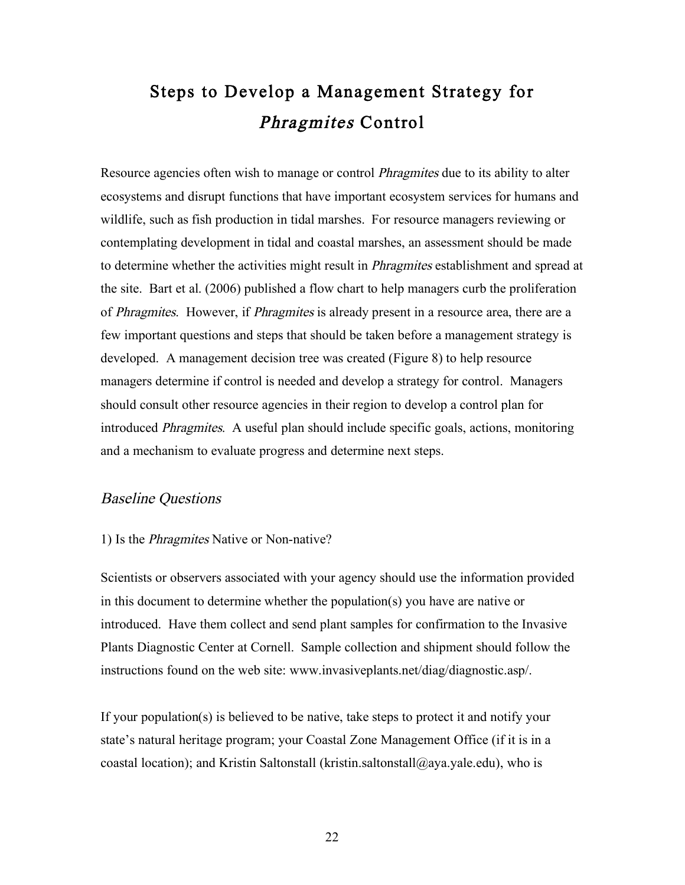# Steps to Develop a Management Strategy for Phragmites Control

Resource agencies often wish to manage or control *Phragmites* due to its ability to alter ecosystems and disrupt functions that have important ecosystem services for humans and wildlife, such as fish production in tidal marshes. For resource managers reviewing or contemplating development in tidal and coastal marshes, an assessment should be made to determine whether the activities might result in Phragmites establishment and spread at the site. Bart et al. (2006) published a flow chart to help managers curb the proliferation of Phragmites. However, if Phragmites is already present in a resource area, there are a few important questions and steps that should be taken before a management strategy is developed. A management decision tree was created (Figure 8) to help resource managers determine if control is needed and develop a strategy for control. Managers should consult other resource agencies in their region to develop a control plan for introduced Phragmites. A useful plan should include specific goals, actions, monitoring and a mechanism to evaluate progress and determine next steps.

#### Baseline Questions

#### 1) Is the Phragmites Native or Non-native?

Scientists or observers associated with your agency should use the information provided in this document to determine whether the population(s) you have are native or introduced. Have them collect and send plant samples for confirmation to the Invasive Plants Diagnostic Center at Cornell. Sample collection and shipment should follow the instructions found on the web site: www.invasiveplants.net/diag/diagnostic.asp/.

If your population(s) is believed to be native, take steps to protect it and notify your state's natural heritage program; your Coastal Zone Management Office (if it is in a coastal location); and Kristin Saltonstall (kristin.saltonstall@aya.yale.edu), who is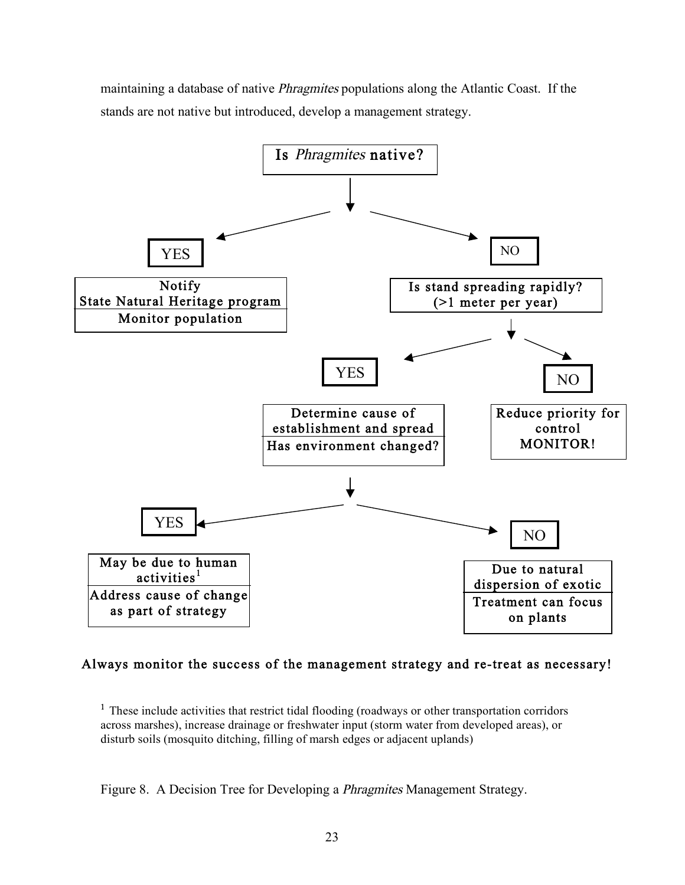maintaining a database of native *Phragmites* populations along the Atlantic Coast. If the stands are not native but introduced, develop a management strategy.



#### Always monitor the success of the management strategy and re-treat as necessary!

<sup>1</sup> These include activities that restrict tidal flooding (roadways or other transportation corridors across marshes), increase drainage or freshwater input (storm water from developed areas), or disturb soils (mosquito ditching, filling of marsh edges or adjacent uplands)

Figure 8. A Decision Tree for Developing a *Phragmites* Management Strategy.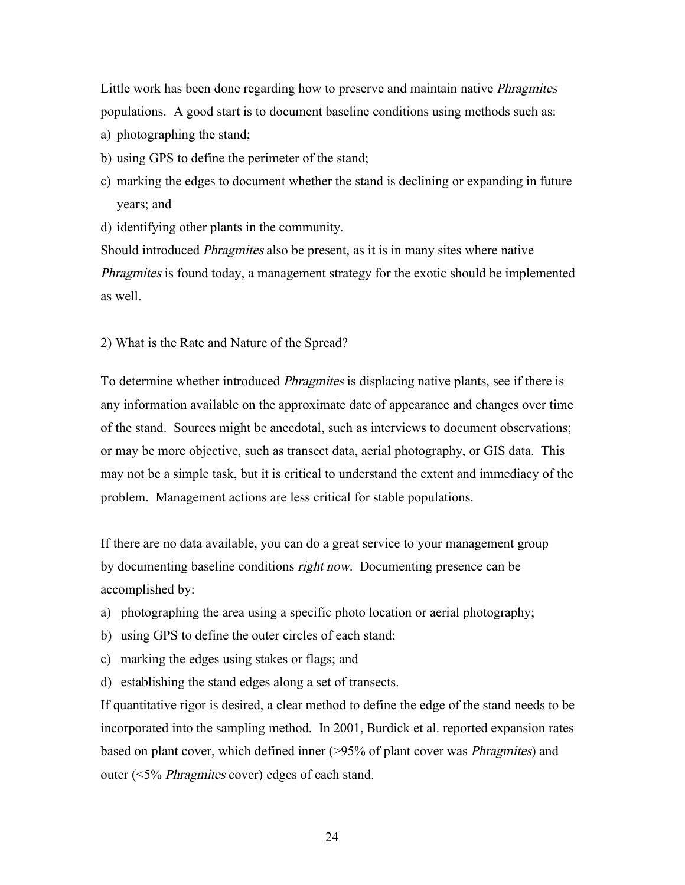Little work has been done regarding how to preserve and maintain native *Phragmites* populations. A good start is to document baseline conditions using methods such as:

- a) photographing the stand;
- b) using GPS to define the perimeter of the stand;
- c) marking the edges to document whether the stand is declining or expanding in future years; and
- d) identifying other plants in the community.

Should introduced Phragmites also be present, as it is in many sites where native Phragmites is found today, a management strategy for the exotic should be implemented as well.

2) What is the Rate and Nature of the Spread?

To determine whether introduced Phragmites is displacing native plants, see if there is any information available on the approximate date of appearance and changes over time of the stand. Sources might be anecdotal, such as interviews to document observations; or may be more objective, such as transect data, aerial photography, or GIS data. This may not be a simple task, but it is critical to understand the extent and immediacy of the problem. Management actions are less critical for stable populations.

If there are no data available, you can do a great service to your management group by documenting baseline conditions right now. Documenting presence can be accomplished by:

- a) photographing the area using a specific photo location or aerial photography;
- b) using GPS to define the outer circles of each stand;
- c) marking the edges using stakes or flags; and
- d) establishing the stand edges along a set of transects.

If quantitative rigor is desired, a clear method to define the edge of the stand needs to be incorporated into the sampling method. In 2001, Burdick et al. reported expansion rates based on plant cover, which defined inner (>95% of plant cover was Phragmites) and outer (<5% Phragmites cover) edges of each stand.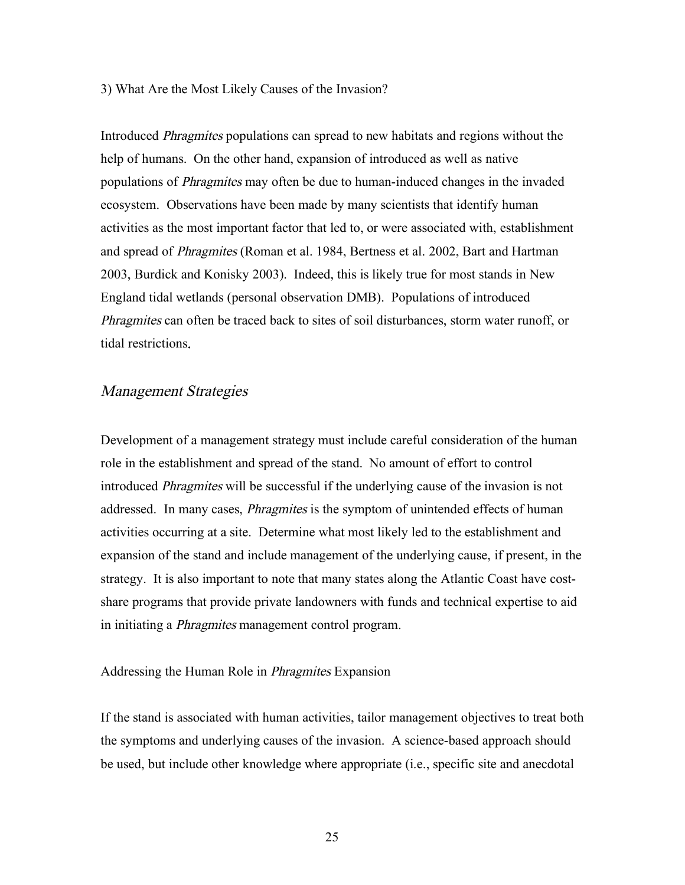#### 3) What Are the Most Likely Causes of the Invasion?

Introduced Phragmites populations can spread to new habitats and regions without the help of humans. On the other hand, expansion of introduced as well as native populations of Phragmites may often be due to human-induced changes in the invaded ecosystem. Observations have been made by many scientists that identify human activities as the most important factor that led to, or were associated with, establishment and spread of Phragmites (Roman et al. 1984, Bertness et al. 2002, Bart and Hartman 2003, Burdick and Konisky 2003). Indeed, this is likely true for most stands in New England tidal wetlands (personal observation DMB). Populations of introduced Phragmites can often be traced back to sites of soil disturbances, storm water runoff, or tidal restrictions.

#### Management Strategies

Development of a management strategy must include careful consideration of the human role in the establishment and spread of the stand. No amount of effort to control introduced Phragmites will be successful if the underlying cause of the invasion is not addressed. In many cases, *Phragmites* is the symptom of unintended effects of human activities occurring at a site. Determine what most likely led to the establishment and expansion of the stand and include management of the underlying cause, if present, in the strategy. It is also important to note that many states along the Atlantic Coast have costshare programs that provide private landowners with funds and technical expertise to aid in initiating a Phragmites management control program.

#### Addressing the Human Role in Phragmites Expansion

If the stand is associated with human activities, tailor management objectives to treat both the symptoms and underlying causes of the invasion. A science-based approach should be used, but include other knowledge where appropriate (i.e., specific site and anecdotal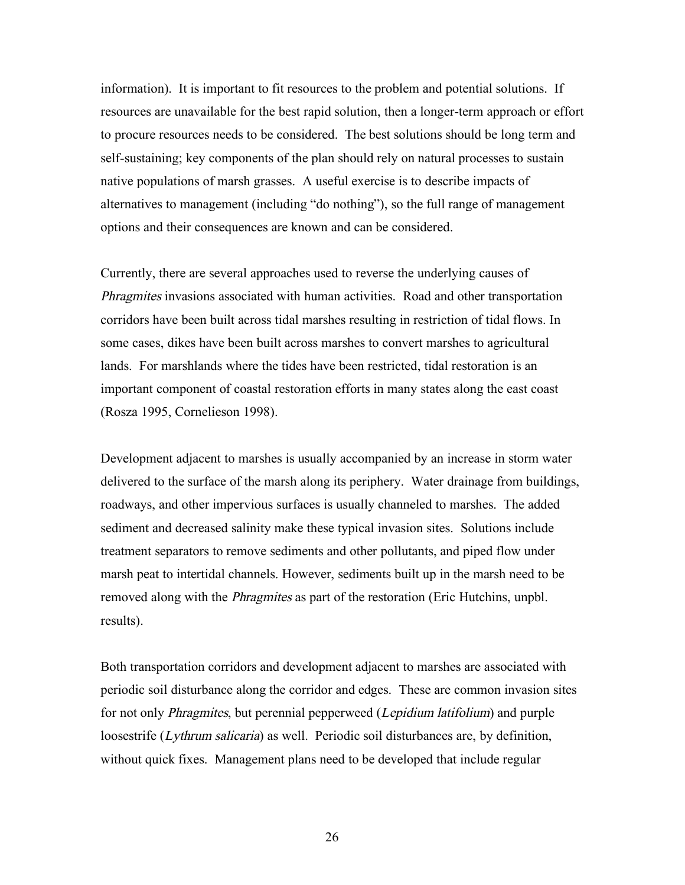information). It is important to fit resources to the problem and potential solutions. If resources are unavailable for the best rapid solution, then a longer-term approach or effort to procure resources needs to be considered. The best solutions should be long term and self-sustaining; key components of the plan should rely on natural processes to sustain native populations of marsh grasses. A useful exercise is to describe impacts of alternatives to management (including "do nothing"), so the full range of management options and their consequences are known and can be considered.

Currently, there are several approaches used to reverse the underlying causes of Phragmites invasions associated with human activities. Road and other transportation corridors have been built across tidal marshes resulting in restriction of tidal flows. In some cases, dikes have been built across marshes to convert marshes to agricultural lands. For marshlands where the tides have been restricted, tidal restoration is an important component of coastal restoration efforts in many states along the east coast (Rosza 1995, Cornelieson 1998).

Development adjacent to marshes is usually accompanied by an increase in storm water delivered to the surface of the marsh along its periphery. Water drainage from buildings, roadways, and other impervious surfaces is usually channeled to marshes. The added sediment and decreased salinity make these typical invasion sites. Solutions include treatment separators to remove sediments and other pollutants, and piped flow under marsh peat to intertidal channels. However, sediments built up in the marsh need to be removed along with the *Phragmites* as part of the restoration (Eric Hutchins, unpbl.) results).

Both transportation corridors and development adjacent to marshes are associated with periodic soil disturbance along the corridor and edges. These are common invasion sites for not only *Phragmites*, but perennial pepperweed (*Lepidium latifolium*) and purple loosestrife (*Lythrum salicaria*) as well. Periodic soil disturbances are, by definition, without quick fixes. Management plans need to be developed that include regular

26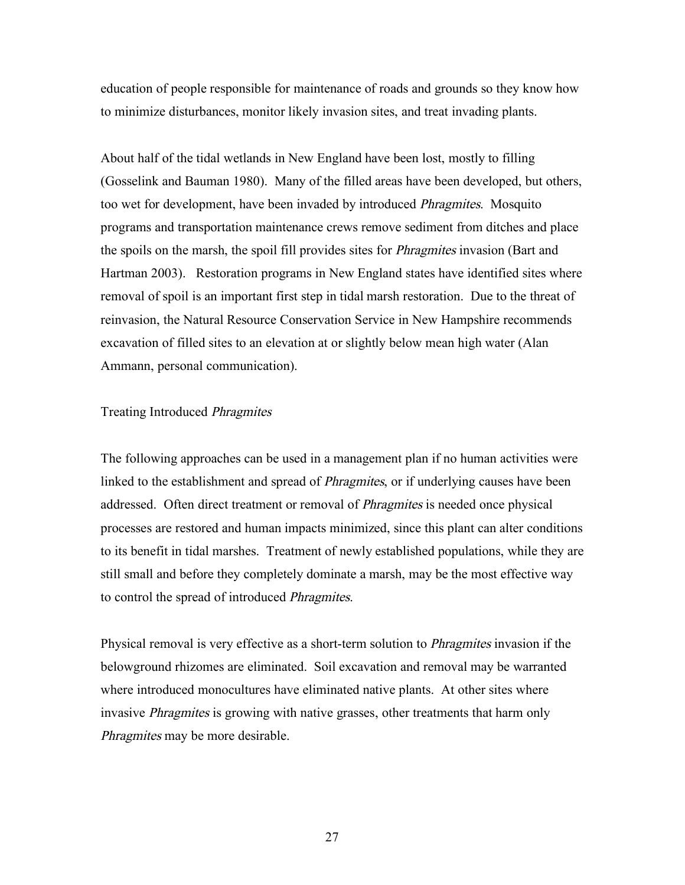education of people responsible for maintenance of roads and grounds so they know how to minimize disturbances, monitor likely invasion sites, and treat invading plants.

About half of the tidal wetlands in New England have been lost, mostly to filling (Gosselink and Bauman 1980). Many of the filled areas have been developed, but others, too wet for development, have been invaded by introduced Phragmites. Mosquito programs and transportation maintenance crews remove sediment from ditches and place the spoils on the marsh, the spoil fill provides sites for Phragmites invasion (Bart and Hartman 2003). Restoration programs in New England states have identified sites where removal of spoil is an important first step in tidal marsh restoration. Due to the threat of reinvasion, the Natural Resource Conservation Service in New Hampshire recommends excavation of filled sites to an elevation at or slightly below mean high water (Alan Ammann, personal communication).

#### Treating Introduced Phragmites

The following approaches can be used in a management plan if no human activities were linked to the establishment and spread of *Phragmites*, or if underlying causes have been addressed. Often direct treatment or removal of Phragmites is needed once physical processes are restored and human impacts minimized, since this plant can alter conditions to its benefit in tidal marshes. Treatment of newly established populations, while they are still small and before they completely dominate a marsh, may be the most effective way to control the spread of introduced Phragmites.

Physical removal is very effective as a short-term solution to Phragmites invasion if the belowground rhizomes are eliminated. Soil excavation and removal may be warranted where introduced monocultures have eliminated native plants. At other sites where invasive Phragmites is growing with native grasses, other treatments that harm only Phragmites may be more desirable.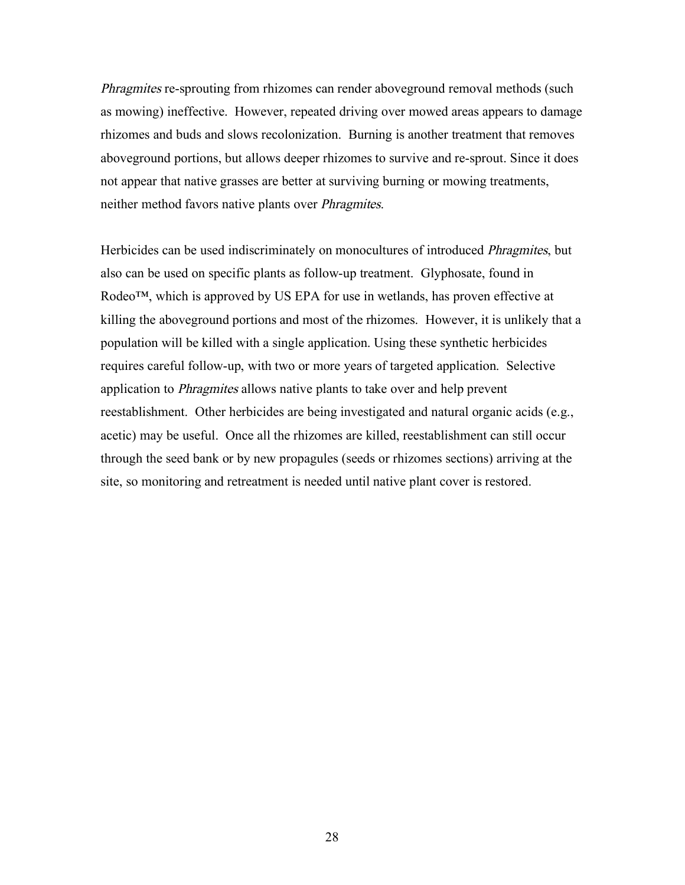Phragmites re-sprouting from rhizomes can render aboveground removal methods (such as mowing) ineffective. However, repeated driving over mowed areas appears to damage rhizomes and buds and slows recolonization. Burning is another treatment that removes aboveground portions, but allows deeper rhizomes to survive and re-sprout. Since it does not appear that native grasses are better at surviving burning or mowing treatments, neither method favors native plants over Phragmites.

Herbicides can be used indiscriminately on monocultures of introduced Phragmites, but also can be used on specific plants as follow-up treatment. Glyphosate, found in Rodeo™, which is approved by US EPA for use in wetlands, has proven effective at killing the aboveground portions and most of the rhizomes. However, it is unlikely that a population will be killed with a single application. Using these synthetic herbicides requires careful follow-up, with two or more years of targeted application. Selective application to Phragmites allows native plants to take over and help prevent reestablishment. Other herbicides are being investigated and natural organic acids (e.g., acetic) may be useful. Once all the rhizomes are killed, reestablishment can still occur through the seed bank or by new propagules (seeds or rhizomes sections) arriving at the site, so monitoring and retreatment is needed until native plant cover is restored.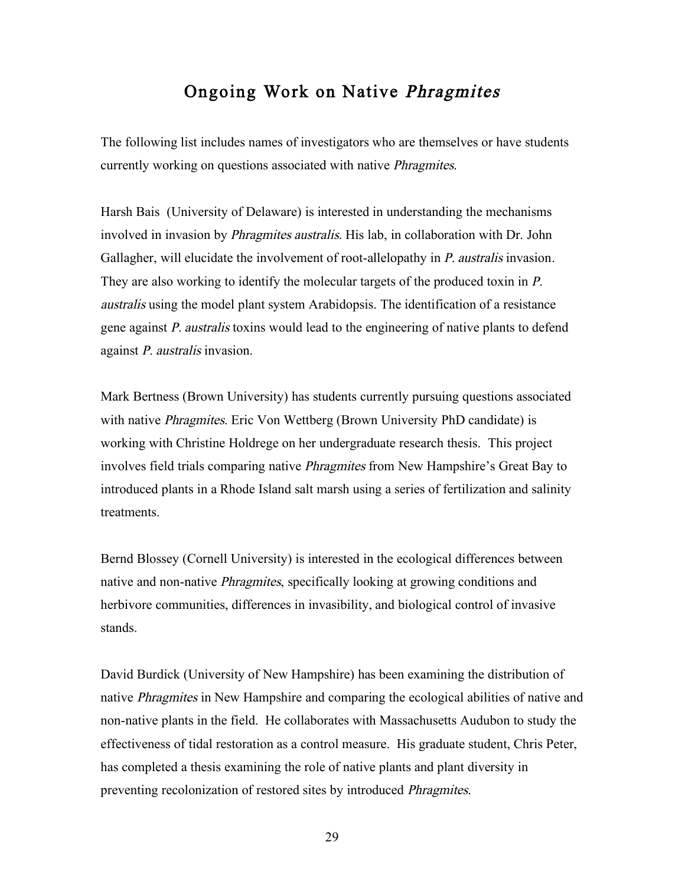## Ongoing Work on Native Phragmites

The following list includes names of investigators who are themselves or have students currently working on questions associated with native Phragmites.

Harsh Bais (University of Delaware) is interested in understanding the mechanisms involved in invasion by Phragmites australis. His lab, in collaboration with Dr. John Gallagher, will elucidate the involvement of root-allelopathy in *P. australis* invasion. They are also working to identify the molecular targets of the produced toxin in P. australis using the model plant system Arabidopsis. The identification of a resistance gene against P. australis toxins would lead to the engineering of native plants to defend against P. australis invasion.

Mark Bertness (Brown University) has students currently pursuing questions associated with native *Phragmites*. Eric Von Wettberg (Brown University PhD candidate) is working with Christine Holdrege on her undergraduate research thesis. This project involves field trials comparing native Phragmites from New Hampshire's Great Bay to introduced plants in a Rhode Island salt marsh using a series of fertilization and salinity treatments.

Bernd Blossey (Cornell University) is interested in the ecological differences between native and non-native Phragmites, specifically looking at growing conditions and herbivore communities, differences in invasibility, and biological control of invasive stands.

David Burdick (University of New Hampshire) has been examining the distribution of native Phragmites in New Hampshire and comparing the ecological abilities of native and non-native plants in the field. He collaborates with Massachusetts Audubon to study the effectiveness of tidal restoration as a control measure. His graduate student, Chris Peter, has completed a thesis examining the role of native plants and plant diversity in preventing recolonization of restored sites by introduced Phragmites.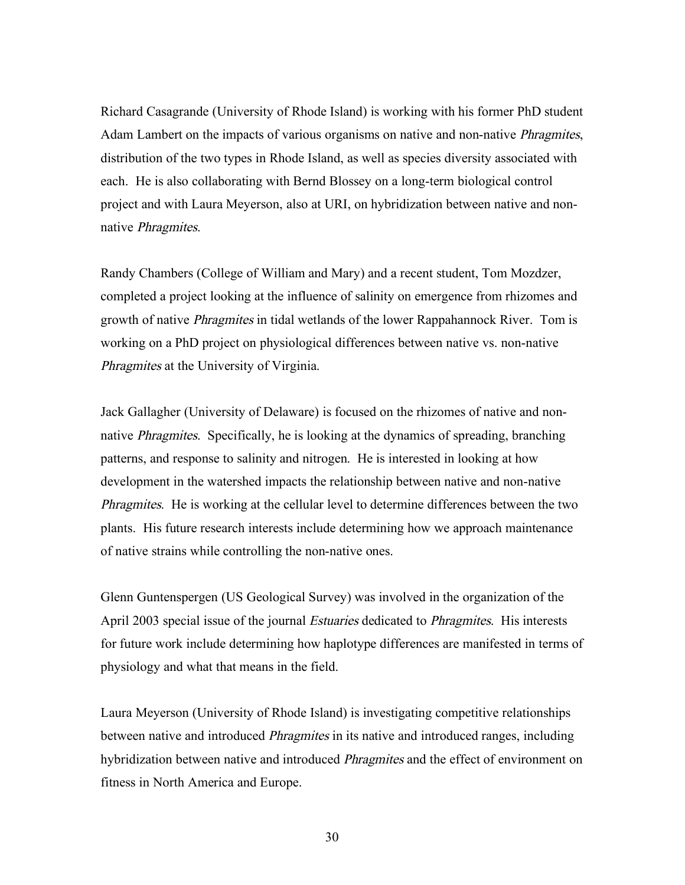Richard Casagrande (University of Rhode Island) is working with his former PhD student Adam Lambert on the impacts of various organisms on native and non-native *Phragmites*, distribution of the two types in Rhode Island, as well as species diversity associated with each. He is also collaborating with Bernd Blossey on a long-term biological control project and with Laura Meyerson, also at URI, on hybridization between native and nonnative Phragmites.

Randy Chambers (College of William and Mary) and a recent student, Tom Mozdzer, completed a project looking at the influence of salinity on emergence from rhizomes and growth of native Phragmites in tidal wetlands of the lower Rappahannock River. Tom is working on a PhD project on physiological differences between native vs. non-native Phragmites at the University of Virginia.

Jack Gallagher (University of Delaware) is focused on the rhizomes of native and nonnative Phragmites. Specifically, he is looking at the dynamics of spreading, branching patterns, and response to salinity and nitrogen. He is interested in looking at how development in the watershed impacts the relationship between native and non-native Phragmites. He is working at the cellular level to determine differences between the two plants. His future research interests include determining how we approach maintenance of native strains while controlling the non-native ones.

Glenn Guntenspergen (US Geological Survey) was involved in the organization of the April 2003 special issue of the journal *Estuaries* dedicated to *Phragmites*. His interests for future work include determining how haplotype differences are manifested in terms of physiology and what that means in the field.

Laura Meyerson (University of Rhode Island) is investigating competitive relationships between native and introduced *Phragmites* in its native and introduced ranges, including hybridization between native and introduced *Phragmites* and the effect of environment on fitness in North America and Europe.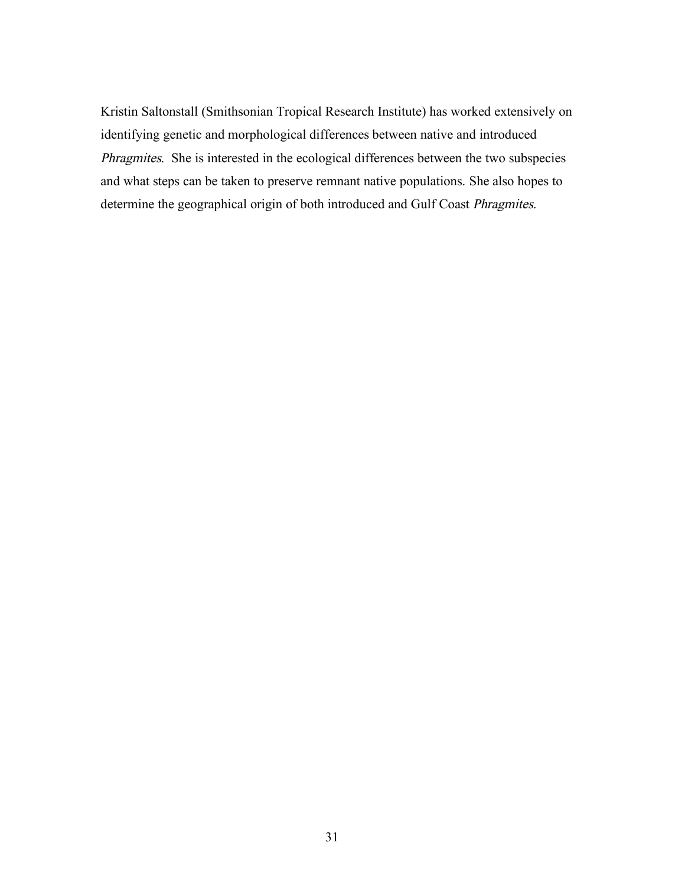Kristin Saltonstall (Smithsonian Tropical Research Institute) has worked extensively on identifying genetic and morphological differences between native and introduced Phragmites. She is interested in the ecological differences between the two subspecies and what steps can be taken to preserve remnant native populations. She also hopes to determine the geographical origin of both introduced and Gulf Coast Phragmites.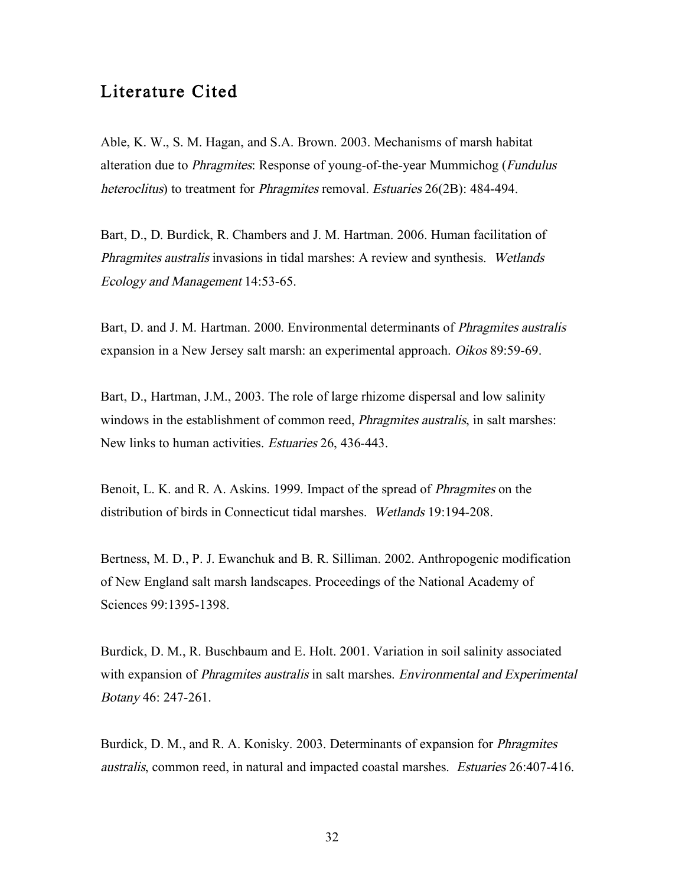## Literature Cited

Able, K. W., S. M. Hagan, and S.A. Brown. 2003. Mechanisms of marsh habitat alteration due to *Phragmites*: Response of young-of-the-year Mummichog (*Fundulus* heteroclitus) to treatment for *Phragmites* removal. *Estuaries* 26(2B): 484-494.

Bart, D., D. Burdick, R. Chambers and J. M. Hartman. 2006. Human facilitation of Phragmites australis invasions in tidal marshes: A review and synthesis. Wetlands Ecology and Management 14:53-65.

Bart, D. and J. M. Hartman. 2000. Environmental determinants of *Phragmites australis* expansion in a New Jersey salt marsh: an experimental approach. Oikos 89:59-69.

Bart, D., Hartman, J.M., 2003. The role of large rhizome dispersal and low salinity windows in the establishment of common reed, *Phragmites australis*, in salt marshes: New links to human activities. Estuaries 26, 436-443.

Benoit, L. K. and R. A. Askins. 1999. Impact of the spread of Phragmites on the distribution of birds in Connecticut tidal marshes. Wetlands 19:194-208.

Bertness, M. D., P. J. Ewanchuk and B. R. Silliman. 2002. Anthropogenic modification of New England salt marsh landscapes. Proceedings of the National Academy of Sciences 99:1395-1398.

Burdick, D. M., R. Buschbaum and E. Holt. 2001. Variation in soil salinity associated with expansion of *Phragmites australis* in salt marshes. *Environmental and Experimental* Botany 46: 247-261.

Burdick, D. M., and R. A. Konisky. 2003. Determinants of expansion for Phragmites australis, common reed, in natural and impacted coastal marshes. Estuaries 26:407-416.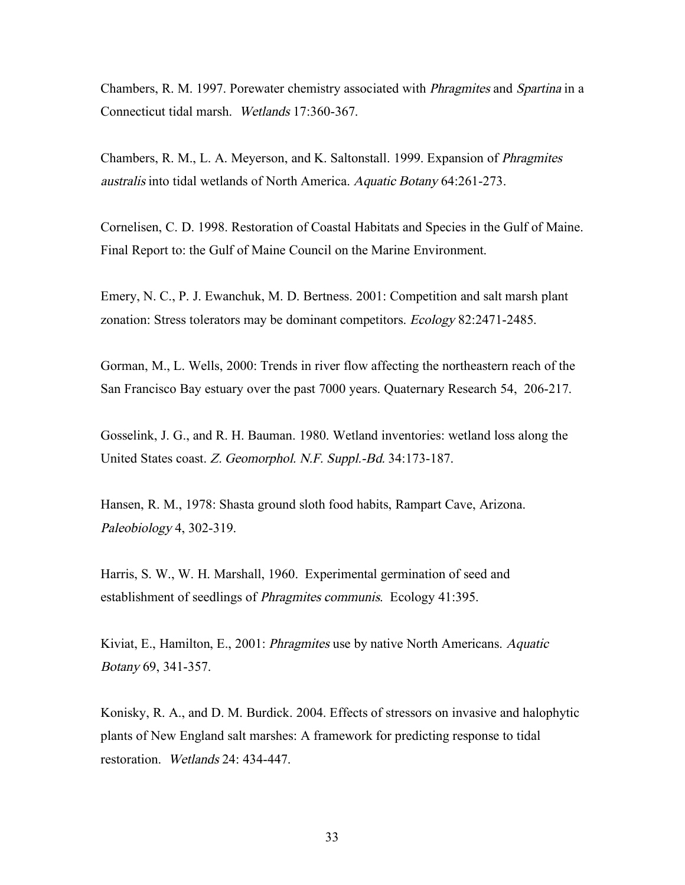Chambers, R. M. 1997. Porewater chemistry associated with Phragmites and Spartina in a Connecticut tidal marsh. Wetlands 17:360-367.

Chambers, R. M., L. A. Meyerson, and K. Saltonstall. 1999. Expansion of Phragmites australis into tidal wetlands of North America. Aquatic Botany 64:261-273.

Cornelisen, C. D. 1998. Restoration of Coastal Habitats and Species in the Gulf of Maine. Final Report to: the Gulf of Maine Council on the Marine Environment.

Emery, N. C., P. J. Ewanchuk, M. D. Bertness. 2001: Competition and salt marsh plant zonation: Stress tolerators may be dominant competitors. Ecology 82:2471-2485.

Gorman, M., L. Wells, 2000: Trends in river flow affecting the northeastern reach of the San Francisco Bay estuary over the past 7000 years. Quaternary Research 54, 206-217.

Gosselink, J. G., and R. H. Bauman. 1980. Wetland inventories: wetland loss along the United States coast. Z. Geomorphol. N.F. Suppl.-Bd. 34:173-187.

Hansen, R. M., 1978: Shasta ground sloth food habits, Rampart Cave, Arizona. Paleobiology 4, 302-319.

Harris, S. W., W. H. Marshall, 1960. Experimental germination of seed and establishment of seedlings of Phragmites communis. Ecology 41:395.

Kiviat, E., Hamilton, E., 2001: *Phragmites* use by native North Americans. *Aquatic* Botany 69, 341-357.

Konisky, R. A., and D. M. Burdick. 2004. Effects of stressors on invasive and halophytic plants of New England salt marshes: A framework for predicting response to tidal restoration. Wetlands 24: 434-447.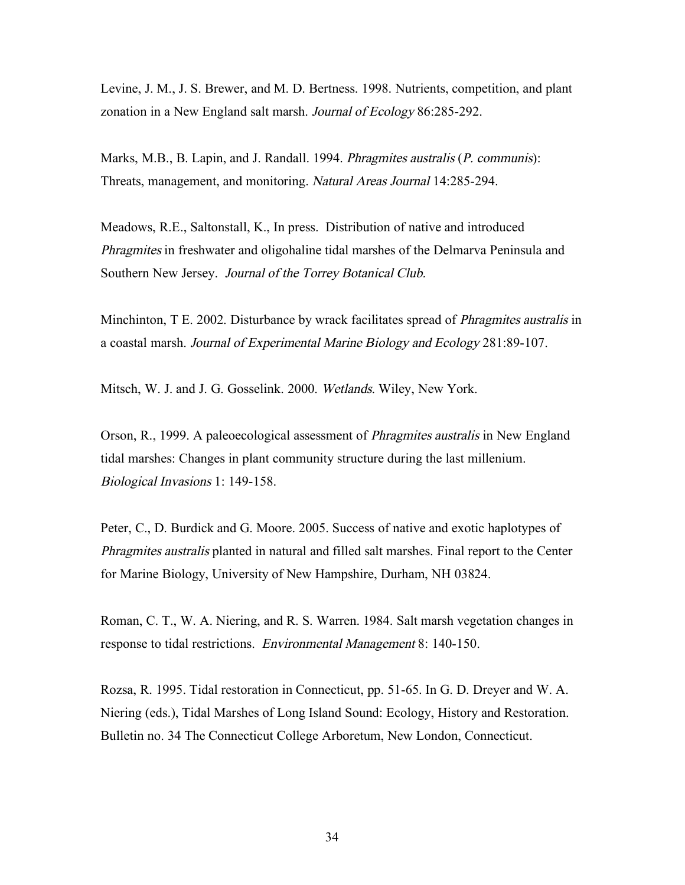Levine, J. M., J. S. Brewer, and M. D. Bertness. 1998. Nutrients, competition, and plant zonation in a New England salt marsh. Journal of Ecology 86:285-292.

Marks, M.B., B. Lapin, and J. Randall. 1994. *Phragmites australis (P. communis)*: Threats, management, and monitoring. Natural Areas Journal 14:285-294.

Meadows, R.E., Saltonstall, K., In press. Distribution of native and introduced Phragmites in freshwater and oligohaline tidal marshes of the Delmarva Peninsula and Southern New Jersey. Journal of the Torrey Botanical Club.

Minchinton, T E. 2002. Disturbance by wrack facilitates spread of *Phragmites australis* in a coastal marsh. Journal of Experimental Marine Biology and Ecology 281:89-107.

Mitsch, W. J. and J. G. Gosselink. 2000. Wetlands. Wiley, New York.

Orson, R., 1999. A paleoecological assessment of Phragmites australis in New England tidal marshes: Changes in plant community structure during the last millenium. Biological Invasions 1: 149-158.

Peter, C., D. Burdick and G. Moore. 2005. Success of native and exotic haplotypes of Phragmites australis planted in natural and filled salt marshes. Final report to the Center for Marine Biology, University of New Hampshire, Durham, NH 03824.

Roman, C. T., W. A. Niering, and R. S. Warren. 1984. Salt marsh vegetation changes in response to tidal restrictions. Environmental Management 8: 140-150.

Rozsa, R. 1995. Tidal restoration in Connecticut, pp. 51-65. In G. D. Dreyer and W. A. Niering (eds.), Tidal Marshes of Long Island Sound: Ecology, History and Restoration. Bulletin no. 34 The Connecticut College Arboretum, New London, Connecticut.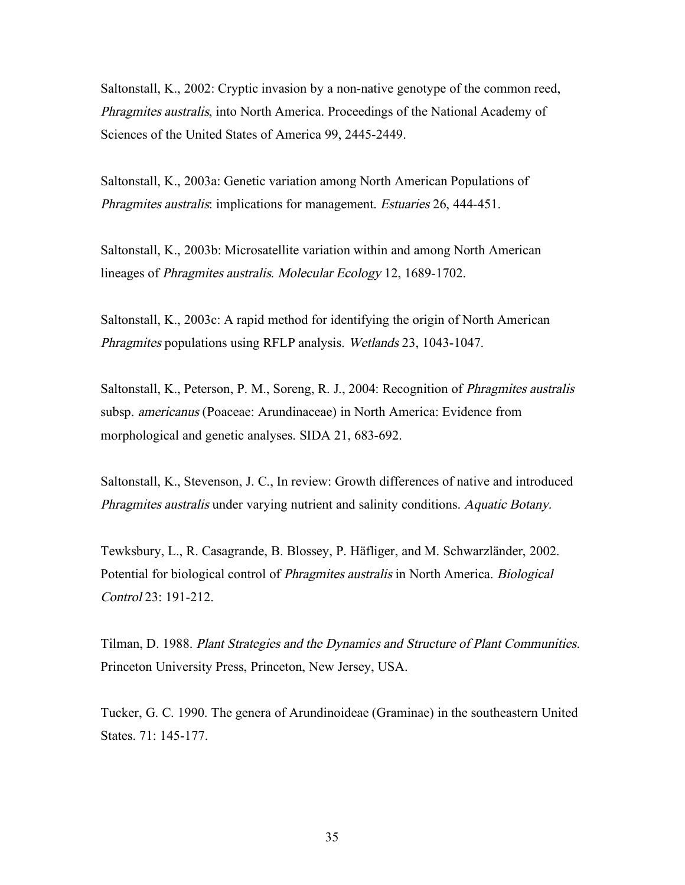Saltonstall, K., 2002: Cryptic invasion by a non-native genotype of the common reed, Phragmites australis, into North America. Proceedings of the National Academy of Sciences of the United States of America 99, 2445-2449.

Saltonstall, K., 2003a: Genetic variation among North American Populations of Phragmites australis: implications for management. Estuaries 26, 444-451.

Saltonstall, K., 2003b: Microsatellite variation within and among North American lineages of Phragmites australis. Molecular Ecology 12, 1689-1702.

Saltonstall, K., 2003c: A rapid method for identifying the origin of North American Phragmites populations using RFLP analysis. Wetlands 23, 1043-1047.

Saltonstall, K., Peterson, P. M., Soreng, R. J., 2004: Recognition of Phragmites australis subsp. americanus (Poaceae: Arundinaceae) in North America: Evidence from morphological and genetic analyses. SIDA 21, 683-692.

Saltonstall, K., Stevenson, J. C., In review: Growth differences of native and introduced Phragmites australis under varying nutrient and salinity conditions. Aquatic Botany.

Tewksbury, L., R. Casagrande, B. Blossey, P. Häfliger, and M. Schwarzländer, 2002. Potential for biological control of Phragmites australis in North America. Biological Control 23: 191-212.

Tilman, D. 1988. Plant Strategies and the Dynamics and Structure of Plant Communities. Princeton University Press, Princeton, New Jersey, USA.

Tucker, G. C. 1990. The genera of Arundinoideae (Graminae) in the southeastern United States. 71: 145-177.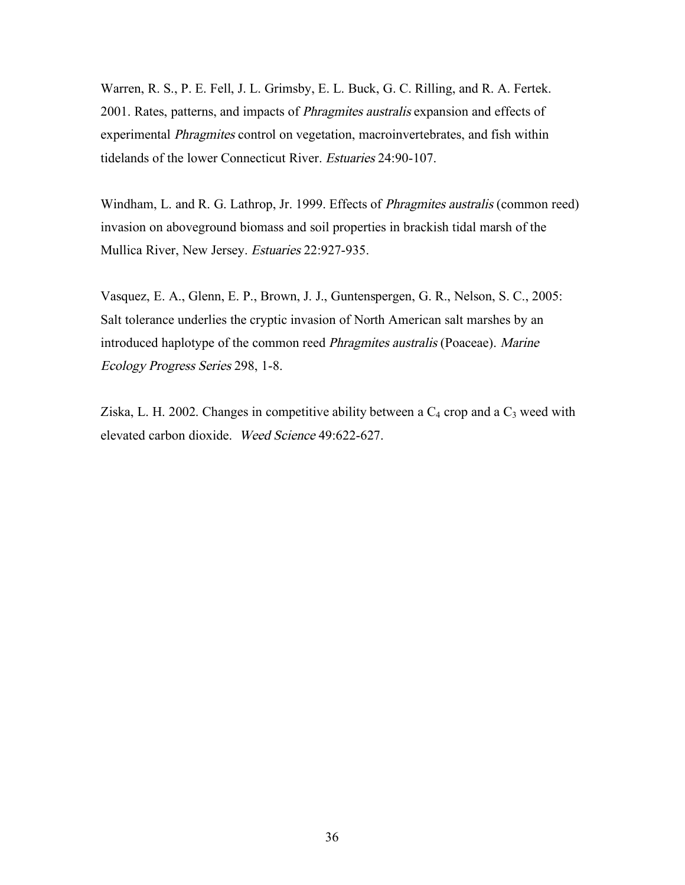Warren, R. S., P. E. Fell, J. L. Grimsby, E. L. Buck, G. C. Rilling, and R. A. Fertek. 2001. Rates, patterns, and impacts of Phragmites australis expansion and effects of experimental Phragmites control on vegetation, macroinvertebrates, and fish within tidelands of the lower Connecticut River. Estuaries 24:90-107.

Windham, L. and R. G. Lathrop, Jr. 1999. Effects of Phragmites australis (common reed) invasion on aboveground biomass and soil properties in brackish tidal marsh of the Mullica River, New Jersey. Estuaries 22:927-935.

Vasquez, E. A., Glenn, E. P., Brown, J. J., Guntenspergen, G. R., Nelson, S. C., 2005: Salt tolerance underlies the cryptic invasion of North American salt marshes by an introduced haplotype of the common reed Phragmites australis (Poaceae). Marine Ecology Progress Series 298, 1-8.

Ziska, L. H. 2002. Changes in competitive ability between a  $C_4$  crop and a  $C_3$  weed with elevated carbon dioxide. Weed Science 49:622-627.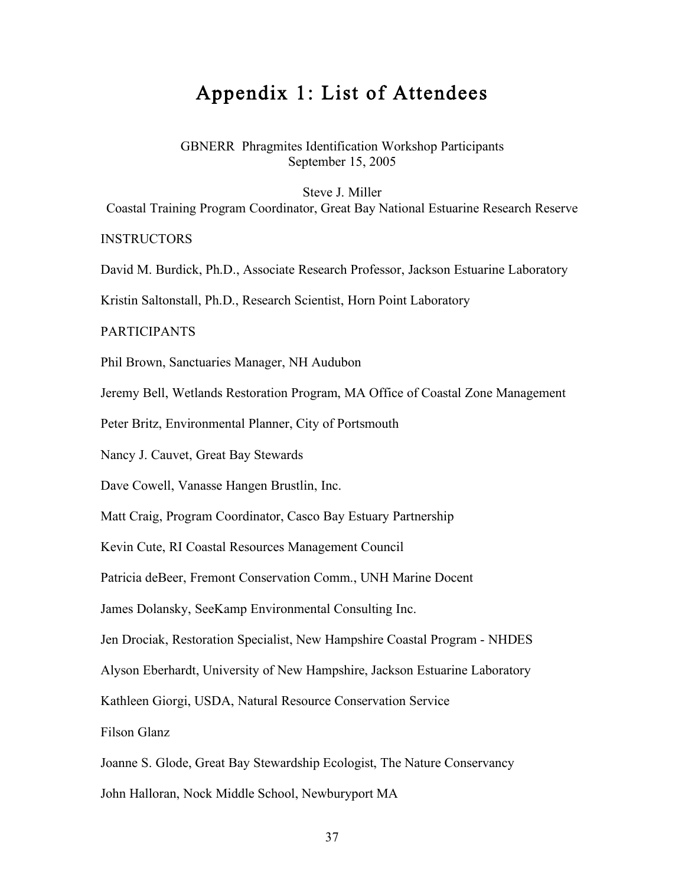## Appendix 1: List of Attendees

GBNERR Phragmites Identification Workshop Participants September 15, 2005

Steve J. Miller

Coastal Training Program Coordinator, Great Bay National Estuarine Research Reserve

**INSTRUCTORS** 

David M. Burdick, Ph.D., Associate Research Professor, Jackson Estuarine Laboratory

Kristin Saltonstall, Ph.D., Research Scientist, Horn Point Laboratory

#### PARTICIPANTS

Phil Brown, Sanctuaries Manager, NH Audubon

Jeremy Bell, Wetlands Restoration Program, MA Office of Coastal Zone Management

Peter Britz, Environmental Planner, City of Portsmouth

Nancy J. Cauvet, Great Bay Stewards

Dave Cowell, Vanasse Hangen Brustlin, Inc.

Matt Craig, Program Coordinator, Casco Bay Estuary Partnership

Kevin Cute, RI Coastal Resources Management Council

Patricia deBeer, Fremont Conservation Comm., UNH Marine Docent

James Dolansky, SeeKamp Environmental Consulting Inc.

Jen Drociak, Restoration Specialist, New Hampshire Coastal Program - NHDES

Alyson Eberhardt, University of New Hampshire, Jackson Estuarine Laboratory

Kathleen Giorgi, USDA, Natural Resource Conservation Service

Filson Glanz

Joanne S. Glode, Great Bay Stewardship Ecologist, The Nature Conservancy

John Halloran, Nock Middle School, Newburyport MA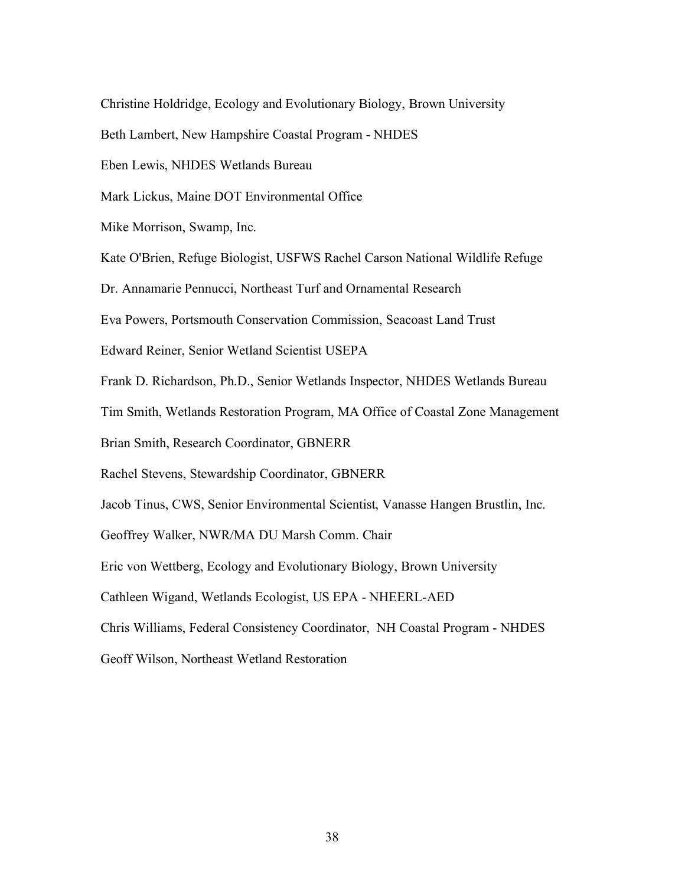Christine Holdridge, Ecology and Evolutionary Biology, Brown University

Beth Lambert, New Hampshire Coastal Program - NHDES

Eben Lewis, NHDES Wetlands Bureau

Mark Lickus, Maine DOT Environmental Office

Mike Morrison, Swamp, Inc.

Kate O'Brien, Refuge Biologist, USFWS Rachel Carson National Wildlife Refuge

Dr. Annamarie Pennucci, Northeast Turf and Ornamental Research

Eva Powers, Portsmouth Conservation Commission, Seacoast Land Trust

Edward Reiner, Senior Wetland Scientist USEPA

Frank D. Richardson, Ph.D., Senior Wetlands Inspector, NHDES Wetlands Bureau

Tim Smith, Wetlands Restoration Program, MA Office of Coastal Zone Management

Brian Smith, Research Coordinator, GBNERR

Rachel Stevens, Stewardship Coordinator, GBNERR

Jacob Tinus, CWS, Senior Environmental Scientist, Vanasse Hangen Brustlin, Inc.

Geoffrey Walker, NWR/MA DU Marsh Comm. Chair

Eric von Wettberg, Ecology and Evolutionary Biology, Brown University

Cathleen Wigand, Wetlands Ecologist, US EPA - NHEERL-AED

Chris Williams, Federal Consistency Coordinator, NH Coastal Program - NHDES

Geoff Wilson, Northeast Wetland Restoration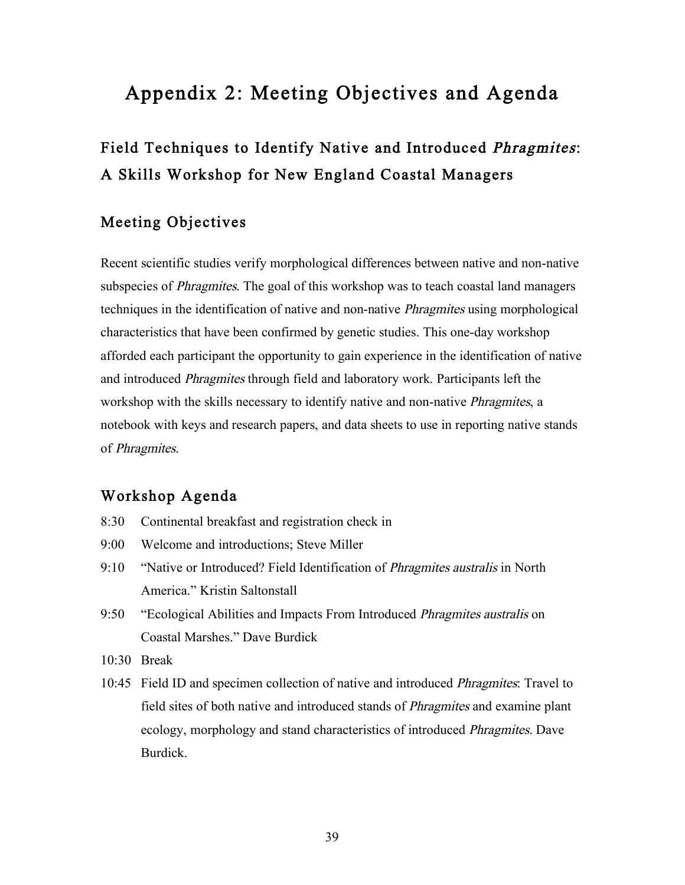# Appendix 2: Meeting Objectives and Agenda

# Field Techniques to Identify Native and Introduced Phragmites: A Skills Workshop for New England Coastal Managers

## Meeting Objectives

Recent scientific studies verify morphological differences between native and non-native subspecies of *Phragmites*. The goal of this workshop was to teach coastal land managers techniques in the identification of native and non-native Phragmites using morphological characteristics that have been confirmed by genetic studies. This one-day workshop afforded each participant the opportunity to gain experience in the identification of native and introduced Phragmites through field and laboratory work. Participants left the workshop with the skills necessary to identify native and non-native *Phragmites*, a notebook with keys and research papers, and data sheets to use in reporting native stands of Phragmites.

### Workshop Agenda

- 8:30 Continental breakfast and registration check in
- 9:00 Welcome and introductions; Steve Miller
- 9:10 "Native or Introduced? Field Identification of *Phragmites australis* in North America." Kristin Saltonstall
- 9:50 "Ecological Abilities and Impacts From Introduced *Phragmites australis* on Coastal Marshes." Dave Burdick
- $10.30$  Break
- 10:45 Field ID and specimen collection of native and introduced Phragmites: Travel to field sites of both native and introduced stands of Phragmites and examine plant ecology, morphology and stand characteristics of introduced Phragmites. Dave Burdick.